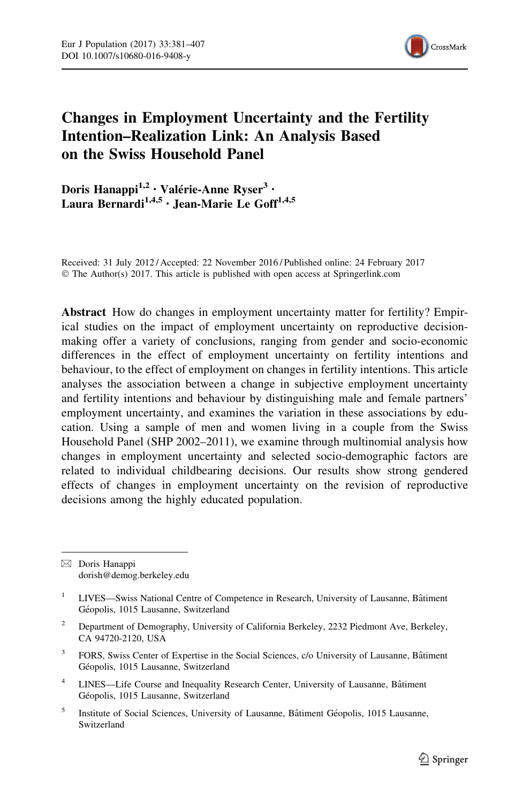

# Changes in Employment Uncertainty and the Fertility Intention–Realization Link: An Analysis Based on the Swiss Household Panel

Doris Hanappi<sup>1,2</sup> · Valérie-Anne Ryser<sup>3</sup> · Laura Bernardi<sup>1,4,5</sup> · Jean-Marie Le Goff<sup>1,4,5</sup>

Received: 31 July 2012 / Accepted: 22 November 2016 / Published online: 24 February 2017 © The Author(s) 2017. This article is published with open access at Springerlink.com

Abstract How do changes in employment uncertainty matter for fertility? Empirical studies on the impact of employment uncertainty on reproductive decisionmaking offer a variety of conclusions, ranging from gender and socio-economic differences in the effect of employment uncertainty on fertility intentions and behaviour, to the effect of employment on changes in fertility intentions. This article analyses the association between a change in subjective employment uncertainty and fertility intentions and behaviour by distinguishing male and female partners' employment uncertainty, and examines the variation in these associations by education. Using a sample of men and women living in a couple from the Swiss Household Panel (SHP 2002–2011), we examine through multinomial analysis how changes in employment uncertainty and selected socio-demographic factors are related to individual childbearing decisions. Our results show strong gendered effects of changes in employment uncertainty on the revision of reproductive decisions among the highly educated population.

& Doris Hanappi dorish@demog.berkeley.edu

- <sup>3</sup> FORS, Swiss Center of Expertise in the Social Sciences, c/o University of Lausanne, Bâtiment Géopolis, 1015 Lausanne, Switzerland
- <sup>4</sup> LINES—Life Course and Inequality Research Center, University of Lausanne, Bâtiment Géopolis, 1015 Lausanne, Switzerland
- <sup>5</sup> Institute of Social Sciences, University of Lausanne, Bâtiment Géopolis, 1015 Lausanne, Switzerland

<sup>&</sup>lt;sup>1</sup> LIVES—Swiss National Centre of Competence in Research, University of Lausanne, Bâtiment Géopolis, 1015 Lausanne, Switzerland

<sup>2</sup> Department of Demography, University of California Berkeley, 2232 Piedmont Ave, Berkeley, CA 94720-2120, USA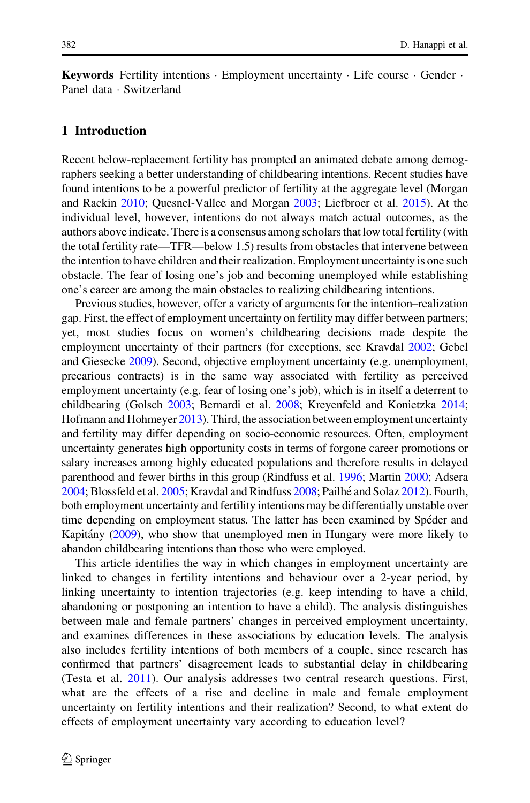Keywords Fertility intentions - Employment uncertainty - Life course - Gender - Panel data - Switzerland

## 1 Introduction

Recent below-replacement fertility has prompted an animated debate among demographers seeking a better understanding of childbearing intentions. Recent studies have found intentions to be a powerful predictor of fertility at the aggregate level (Morgan and Rackin [2010;](#page-25-0) Quesnel-Vallee and Morgan [2003](#page-25-0); Liefbroer et al. [2015\)](#page-25-0). At the individual level, however, intentions do not always match actual outcomes, as the authors above indicate. There is a consensus among scholars that low total fertility (with the total fertility rate—TFR—below 1.5) results from obstacles that intervene between the intention to have children and their realization. Employment uncertainty is one such obstacle. The fear of losing one's job and becoming unemployed while establishing one's career are among the main obstacles to realizing childbearing intentions.

Previous studies, however, offer a variety of arguments for the intention–realization gap. First, the effect of employment uncertainty on fertility may differ between partners; yet, most studies focus on women's childbearing decisions made despite the employment uncertainty of their partners (for exceptions, see Kravdal [2002](#page-24-0); Gebel and Giesecke [2009](#page-24-0)). Second, objective employment uncertainty (e.g. unemployment, precarious contracts) is in the same way associated with fertility as perceived employment uncertainty (e.g. fear of losing one's job), which is in itself a deterrent to childbearing (Golsch [2003;](#page-24-0) Bernardi et al. [2008](#page-23-0); Kreyenfeld and Konietzka [2014;](#page-24-0) Hofmann and Hohmeyer [2013\)](#page-24-0). Third, the association between employment uncertainty and fertility may differ depending on socio-economic resources. Often, employment uncertainty generates high opportunity costs in terms of forgone career promotions or salary increases among highly educated populations and therefore results in delayed parenthood and fewer births in this group (Rindfuss et al. [1996](#page-25-0); Martin [2000](#page-25-0); Adsera [2004;](#page-23-0) Blossfeld et al. [2005](#page-23-0); Kravdal and Rindfuss [2008;](#page-24-0) Pailhe´ and Solaz [2012](#page-25-0)). Fourth, both employment uncertainty and fertility intentions may be differentially unstable over time depending on employment status. The latter has been examined by Spéder and Kapitány ([2009](#page-26-0)), who show that unemployed men in Hungary were more likely to abandon childbearing intentions than those who were employed.

This article identifies the way in which changes in employment uncertainty are linked to changes in fertility intentions and behaviour over a 2-year period, by linking uncertainty to intention trajectories (e.g. keep intending to have a child, abandoning or postponing an intention to have a child). The analysis distinguishes between male and female partners' changes in perceived employment uncertainty, and examines differences in these associations by education levels. The analysis also includes fertility intentions of both members of a couple, since research has confirmed that partners' disagreement leads to substantial delay in childbearing (Testa et al. [2011\)](#page-26-0). Our analysis addresses two central research questions. First, what are the effects of a rise and decline in male and female employment uncertainty on fertility intentions and their realization? Second, to what extent do effects of employment uncertainty vary according to education level?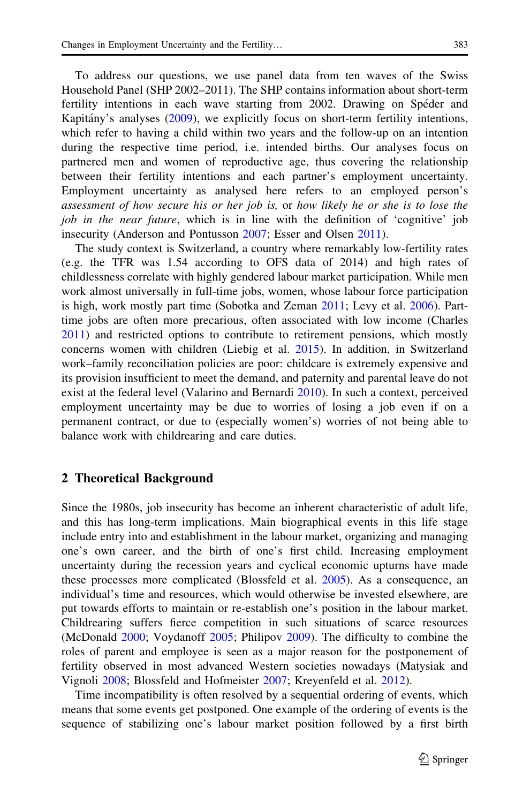To address our questions, we use panel data from ten waves of the Swiss Household Panel (SHP 2002–2011). The SHP contains information about short-term fertility intentions in each wave starting from 2002. Drawing on Spéder and Kapitány's analyses [\(2009\)](#page-26-0), we explicitly focus on short-term fertility intentions, which refer to having a child within two years and the follow-up on an intention during the respective time period, i.e. intended births. Our analyses focus on partnered men and women of reproductive age, thus covering the relationship between their fertility intentions and each partner's employment uncertainty. Employment uncertainty as analysed here refers to an employed person's assessment of how secure his or her job is, or how likely he or she is to lose the job in the near future, which is in line with the definition of 'cognitive' job insecurity (Anderson and Pontusson [2007](#page-23-0); Esser and Olsen [2011\)](#page-24-0).

The study context is Switzerland, a country where remarkably low-fertility rates (e.g. the TFR was 1.54 according to OFS data of 2014) and high rates of childlessness correlate with highly gendered labour market participation. While men work almost universally in full-time jobs, women, whose labour force participation is high, work mostly part time (Sobotka and Zeman [2011;](#page-26-0) Levy et al. [2006\)](#page-25-0). Parttime jobs are often more precarious, often associated with low income (Charles [2011\)](#page-24-0) and restricted options to contribute to retirement pensions, which mostly concerns women with children (Liebig et al. [2015](#page-25-0)). In addition, in Switzerland work–family reconciliation policies are poor: childcare is extremely expensive and its provision insufficient to meet the demand, and paternity and parental leave do not exist at the federal level (Valarino and Bernardi [2010\)](#page-26-0). In such a context, perceived employment uncertainty may be due to worries of losing a job even if on a permanent contract, or due to (especially women's) worries of not being able to balance work with childrearing and care duties.

#### 2 Theoretical Background

Since the 1980s, job insecurity has become an inherent characteristic of adult life, and this has long-term implications. Main biographical events in this life stage include entry into and establishment in the labour market, organizing and managing one's own career, and the birth of one's first child. Increasing employment uncertainty during the recession years and cyclical economic upturns have made these processes more complicated (Blossfeld et al. [2005](#page-23-0)). As a consequence, an individual's time and resources, which would otherwise be invested elsewhere, are put towards efforts to maintain or re-establish one's position in the labour market. Childrearing suffers fierce competition in such situations of scarce resources (McDonald [2000;](#page-25-0) Voydanoff [2005;](#page-26-0) Philipov [2009\)](#page-25-0). The difficulty to combine the roles of parent and employee is seen as a major reason for the postponement of fertility observed in most advanced Western societies nowadays (Matysiak and Vignoli [2008;](#page-25-0) Blossfeld and Hofmeister [2007](#page-23-0); Kreyenfeld et al. [2012](#page-24-0)).

Time incompatibility is often resolved by a sequential ordering of events, which means that some events get postponed. One example of the ordering of events is the sequence of stabilizing one's labour market position followed by a first birth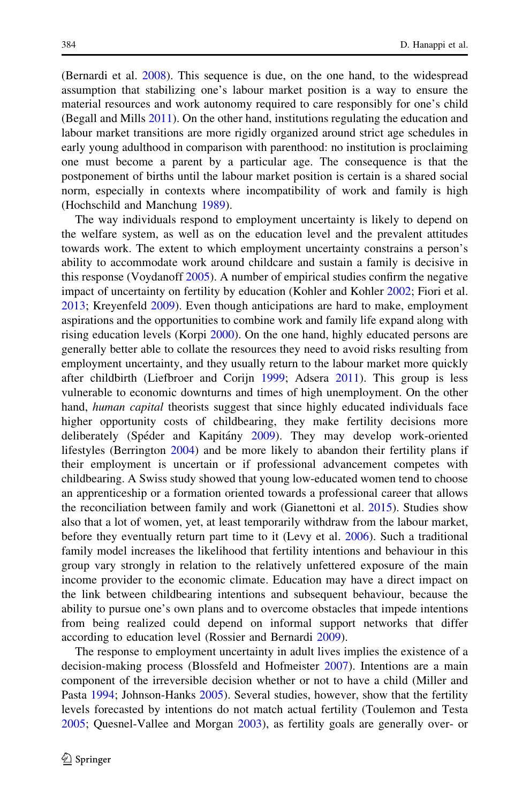(Bernardi et al. [2008\)](#page-23-0). This sequence is due, on the one hand, to the widespread assumption that stabilizing one's labour market position is a way to ensure the material resources and work autonomy required to care responsibly for one's child (Begall and Mills [2011](#page-23-0)). On the other hand, institutions regulating the education and labour market transitions are more rigidly organized around strict age schedules in early young adulthood in comparison with parenthood: no institution is proclaiming one must become a parent by a particular age. The consequence is that the postponement of births until the labour market position is certain is a shared social norm, especially in contexts where incompatibility of work and family is high (Hochschild and Manchung [1989](#page-24-0)).

The way individuals respond to employment uncertainty is likely to depend on the welfare system, as well as on the education level and the prevalent attitudes towards work. The extent to which employment uncertainty constrains a person's ability to accommodate work around childcare and sustain a family is decisive in this response (Voydanoff [2005](#page-26-0)). A number of empirical studies confirm the negative impact of uncertainty on fertility by education (Kohler and Kohler [2002](#page-24-0); Fiori et al. [2013;](#page-24-0) Kreyenfeld [2009](#page-24-0)). Even though anticipations are hard to make, employment aspirations and the opportunities to combine work and family life expand along with rising education levels (Korpi [2000](#page-24-0)). On the one hand, highly educated persons are generally better able to collate the resources they need to avoid risks resulting from employment uncertainty, and they usually return to the labour market more quickly after childbirth (Liefbroer and Corijn [1999](#page-25-0); Adsera [2011](#page-23-0)). This group is less vulnerable to economic downturns and times of high unemployment. On the other hand, human capital theorists suggest that since highly educated individuals face higher opportunity costs of childbearing, they make fertility decisions more deliberately (Spéder and Kapitány [2009](#page-26-0)). They may develop work-oriented lifestyles (Berrington [2004\)](#page-23-0) and be more likely to abandon their fertility plans if their employment is uncertain or if professional advancement competes with childbearing. A Swiss study showed that young low-educated women tend to choose an apprenticeship or a formation oriented towards a professional career that allows the reconciliation between family and work (Gianettoni et al. [2015](#page-24-0)). Studies show also that a lot of women, yet, at least temporarily withdraw from the labour market, before they eventually return part time to it (Levy et al. [2006](#page-25-0)). Such a traditional family model increases the likelihood that fertility intentions and behaviour in this group vary strongly in relation to the relatively unfettered exposure of the main income provider to the economic climate. Education may have a direct impact on the link between childbearing intentions and subsequent behaviour, because the ability to pursue one's own plans and to overcome obstacles that impede intentions from being realized could depend on informal support networks that differ according to education level (Rossier and Bernardi [2009\)](#page-25-0).

The response to employment uncertainty in adult lives implies the existence of a decision-making process (Blossfeld and Hofmeister [2007](#page-23-0)). Intentions are a main component of the irreversible decision whether or not to have a child (Miller and Pasta [1994](#page-25-0); Johnson-Hanks [2005](#page-24-0)). Several studies, however, show that the fertility levels forecasted by intentions do not match actual fertility (Toulemon and Testa [2005;](#page-26-0) Quesnel-Vallee and Morgan [2003](#page-25-0)), as fertility goals are generally over- or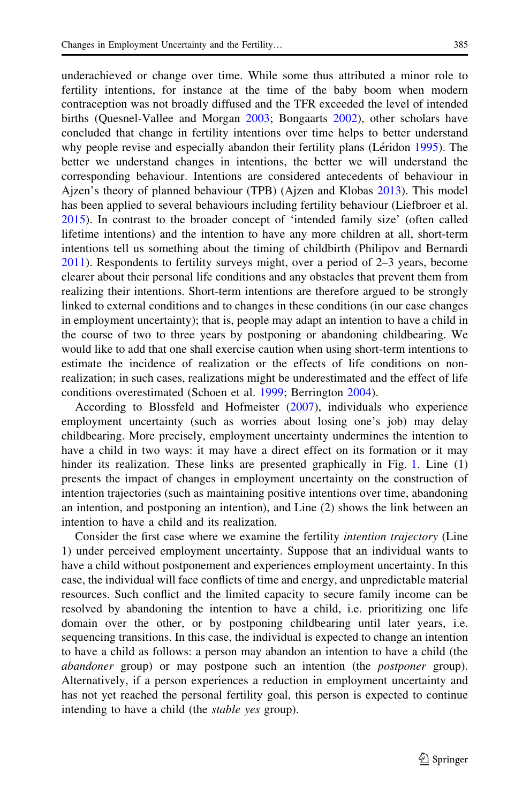underachieved or change over time. While some thus attributed a minor role to fertility intentions, for instance at the time of the baby boom when modern contraception was not broadly diffused and the TFR exceeded the level of intended births (Quesnel-Vallee and Morgan [2003;](#page-25-0) Bongaarts [2002](#page-23-0)), other scholars have concluded that change in fertility intentions over time helps to better understand why people revise and especially abandon their fertility plans (Léridon [1995\)](#page-24-0). The better we understand changes in intentions, the better we will understand the corresponding behaviour. Intentions are considered antecedents of behaviour in Ajzen's theory of planned behaviour (TPB) (Ajzen and Klobas [2013\)](#page-23-0). This model has been applied to several behaviours including fertility behaviour (Liefbroer et al. [2015\)](#page-25-0). In contrast to the broader concept of 'intended family size' (often called lifetime intentions) and the intention to have any more children at all, short-term intentions tell us something about the timing of childbirth (Philipov and Bernardi [2011\)](#page-25-0). Respondents to fertility surveys might, over a period of 2–3 years, become clearer about their personal life conditions and any obstacles that prevent them from realizing their intentions. Short-term intentions are therefore argued to be strongly linked to external conditions and to changes in these conditions (in our case changes in employment uncertainty); that is, people may adapt an intention to have a child in the course of two to three years by postponing or abandoning childbearing. We would like to add that one shall exercise caution when using short-term intentions to estimate the incidence of realization or the effects of life conditions on nonrealization; in such cases, realizations might be underestimated and the effect of life conditions overestimated (Schoen et al. [1999](#page-26-0); Berrington [2004](#page-23-0)).

According to Blossfeld and Hofmeister ([2007\)](#page-23-0), individuals who experience employment uncertainty (such as worries about losing one's job) may delay childbearing. More precisely, employment uncertainty undermines the intention to have a child in two ways: it may have a direct effect on its formation or it may hinder its realization. These links are presented graphically in Fig. [1.](#page-5-0) Line (1) presents the impact of changes in employment uncertainty on the construction of intention trajectories (such as maintaining positive intentions over time, abandoning an intention, and postponing an intention), and Line (2) shows the link between an intention to have a child and its realization.

Consider the first case where we examine the fertility *intention trajectory* (Line 1) under perceived employment uncertainty. Suppose that an individual wants to have a child without postponement and experiences employment uncertainty. In this case, the individual will face conflicts of time and energy, and unpredictable material resources. Such conflict and the limited capacity to secure family income can be resolved by abandoning the intention to have a child, i.e. prioritizing one life domain over the other, or by postponing childbearing until later years, i.e. sequencing transitions. In this case, the individual is expected to change an intention to have a child as follows: a person may abandon an intention to have a child (the abandoner group) or may postpone such an intention (the postponer group). Alternatively, if a person experiences a reduction in employment uncertainty and has not yet reached the personal fertility goal, this person is expected to continue intending to have a child (the stable yes group).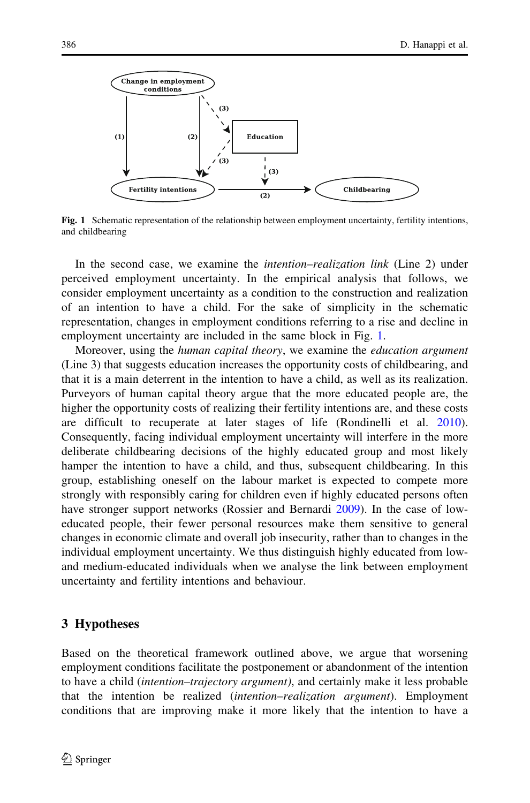<span id="page-5-0"></span>

Fig. 1 Schematic representation of the relationship between employment uncertainty, fertility intentions, and childbearing

In the second case, we examine the *intention–realization link* (Line 2) under perceived employment uncertainty. In the empirical analysis that follows, we consider employment uncertainty as a condition to the construction and realization of an intention to have a child. For the sake of simplicity in the schematic representation, changes in employment conditions referring to a rise and decline in employment uncertainty are included in the same block in Fig. 1.

Moreover, using the *human capital theory*, we examine the *education argument* (Line 3) that suggests education increases the opportunity costs of childbearing, and that it is a main deterrent in the intention to have a child, as well as its realization. Purveyors of human capital theory argue that the more educated people are, the higher the opportunity costs of realizing their fertility intentions are, and these costs are difficult to recuperate at later stages of life (Rondinelli et al. [2010\)](#page-25-0). Consequently, facing individual employment uncertainty will interfere in the more deliberate childbearing decisions of the highly educated group and most likely hamper the intention to have a child, and thus, subsequent childbearing. In this group, establishing oneself on the labour market is expected to compete more strongly with responsibly caring for children even if highly educated persons often have stronger support networks (Rossier and Bernardi [2009\)](#page-25-0). In the case of loweducated people, their fewer personal resources make them sensitive to general changes in economic climate and overall job insecurity, rather than to changes in the individual employment uncertainty. We thus distinguish highly educated from lowand medium-educated individuals when we analyse the link between employment uncertainty and fertility intentions and behaviour.

## 3 Hypotheses

Based on the theoretical framework outlined above, we argue that worsening employment conditions facilitate the postponement or abandonment of the intention to have a child *(intention–trajectory argument)*, and certainly make it less probable that the intention be realized (intention–realization argument). Employment conditions that are improving make it more likely that the intention to have a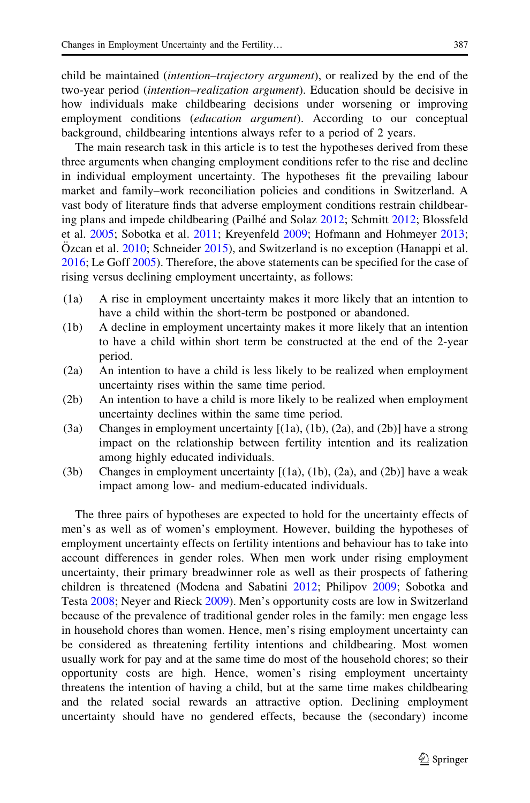child be maintained *(intention–trajectory argument)*, or realized by the end of the two-year period (intention–realization argument). Education should be decisive in how individuals make childbearing decisions under worsening or improving employment conditions *(education argument)*. According to our conceptual background, childbearing intentions always refer to a period of 2 years.

The main research task in this article is to test the hypotheses derived from these three arguments when changing employment conditions refer to the rise and decline in individual employment uncertainty. The hypotheses fit the prevailing labour market and family–work reconciliation policies and conditions in Switzerland. A vast body of literature finds that adverse employment conditions restrain childbear-ing plans and impede childbearing (Pailhé and Solaz [2012;](#page-25-0) Schmitt [2012](#page-25-0); Blossfeld et al. [2005;](#page-23-0) Sobotka et al. [2011;](#page-26-0) Kreyenfeld [2009](#page-24-0); Hofmann and Hohmeyer [2013;](#page-24-0) Ozcan et al.  $2010$ ; Schneider [2015](#page-25-0)), and Switzerland is no exception (Hanappi et al. [2016;](#page-24-0) Le Goff [2005\)](#page-24-0). Therefore, the above statements can be specified for the case of rising versus declining employment uncertainty, as follows:

- (1a) A rise in employment uncertainty makes it more likely that an intention to have a child within the short-term be postponed or abandoned.
- (1b) A decline in employment uncertainty makes it more likely that an intention to have a child within short term be constructed at the end of the 2-year period.
- (2a) An intention to have a child is less likely to be realized when employment uncertainty rises within the same time period.
- (2b) An intention to have a child is more likely to be realized when employment uncertainty declines within the same time period.
- (3a) Changes in employment uncertainty [(1a), (1b), (2a), and (2b)] have a strong impact on the relationship between fertility intention and its realization among highly educated individuals.
- (3b) Changes in employment uncertainty  $[(1a), (1b), (2a),$  and  $(2b)]$  have a weak impact among low- and medium-educated individuals.

The three pairs of hypotheses are expected to hold for the uncertainty effects of men's as well as of women's employment. However, building the hypotheses of employment uncertainty effects on fertility intentions and behaviour has to take into account differences in gender roles. When men work under rising employment uncertainty, their primary breadwinner role as well as their prospects of fathering children is threatened (Modena and Sabatini [2012](#page-25-0); Philipov [2009](#page-25-0); Sobotka and Testa [2008](#page-26-0); Neyer and Rieck [2009](#page-25-0)). Men's opportunity costs are low in Switzerland because of the prevalence of traditional gender roles in the family: men engage less in household chores than women. Hence, men's rising employment uncertainty can be considered as threatening fertility intentions and childbearing. Most women usually work for pay and at the same time do most of the household chores; so their opportunity costs are high. Hence, women's rising employment uncertainty threatens the intention of having a child, but at the same time makes childbearing and the related social rewards an attractive option. Declining employment uncertainty should have no gendered effects, because the (secondary) income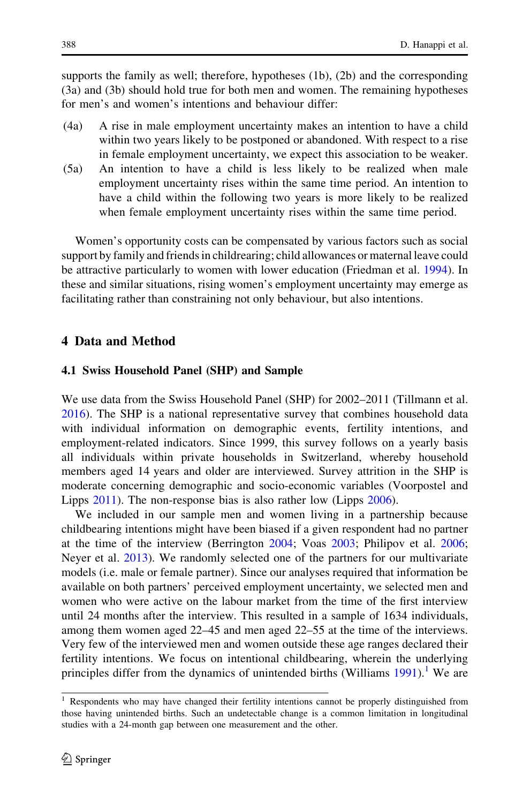supports the family as well; therefore, hypotheses (1b), (2b) and the corresponding (3a) and (3b) should hold true for both men and women. The remaining hypotheses for men's and women's intentions and behaviour differ:

- (4a) A rise in male employment uncertainty makes an intention to have a child within two years likely to be postponed or abandoned. With respect to a rise in female employment uncertainty, we expect this association to be weaker.
- (5a) An intention to have a child is less likely to be realized when male employment uncertainty rises within the same time period. An intention to have a child within the following two years is more likely to be realized when female employment uncertainty rises within the same time period.

Women's opportunity costs can be compensated by various factors such as social support by family and friends in childrearing; child allowances or maternal leave could be attractive particularly to women with lower education (Friedman et al. [1994](#page-24-0)). In these and similar situations, rising women's employment uncertainty may emerge as facilitating rather than constraining not only behaviour, but also intentions.

#### 4 Data and Method

#### 4.1 Swiss Household Panel (SHP) and Sample

We use data from the Swiss Household Panel (SHP) for 2002–2011 (Tillmann et al. [2016\)](#page-26-0). The SHP is a national representative survey that combines household data with individual information on demographic events, fertility intentions, and employment-related indicators. Since 1999, this survey follows on a yearly basis all individuals within private households in Switzerland, whereby household members aged 14 years and older are interviewed. Survey attrition in the SHP is moderate concerning demographic and socio-economic variables (Voorpostel and Lipps [2011](#page-26-0)). The non-response bias is also rather low (Lipps [2006\)](#page-25-0).

We included in our sample men and women living in a partnership because childbearing intentions might have been biased if a given respondent had no partner at the time of the interview (Berrington [2004](#page-23-0); Voas [2003;](#page-26-0) Philipov et al. [2006;](#page-25-0) Neyer et al. [2013\)](#page-25-0). We randomly selected one of the partners for our multivariate models (i.e. male or female partner). Since our analyses required that information be available on both partners' perceived employment uncertainty, we selected men and women who were active on the labour market from the time of the first interview until 24 months after the interview. This resulted in a sample of 1634 individuals, among them women aged 22–45 and men aged 22–55 at the time of the interviews. Very few of the interviewed men and women outside these age ranges declared their fertility intentions. We focus on intentional childbearing, wherein the underlying principles differ from the dynamics of unintended births (Williams [1991](#page-26-0)).<sup>1</sup> We are

<sup>&</sup>lt;sup>1</sup> Respondents who may have changed their fertility intentions cannot be properly distinguished from those having unintended births. Such an undetectable change is a common limitation in longitudinal studies with a 24-month gap between one measurement and the other.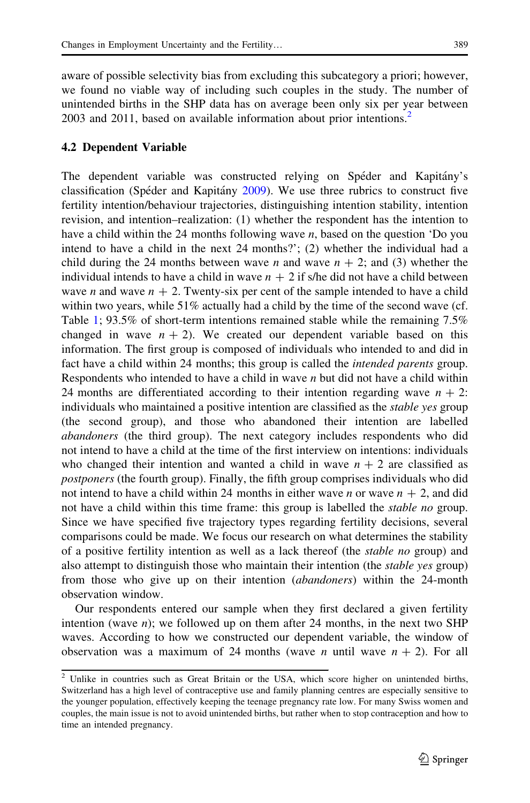<span id="page-8-0"></span>aware of possible selectivity bias from excluding this subcategory a priori; however, we found no viable way of including such couples in the study. The number of unintended births in the SHP data has on average been only six per year between 2003 and 2011, based on available information about prior intentions.<sup>2</sup>

## 4.2 Dependent Variable

The dependent variable was constructed relying on Spéder and Kapitány's classification (Spéder and Kapitány [2009\)](#page-26-0). We use three rubrics to construct five fertility intention/behaviour trajectories, distinguishing intention stability, intention revision, and intention–realization: (1) whether the respondent has the intention to have a child within the 24 months following wave n, based on the question 'Do you intend to have a child in the next 24 months?'; (2) whether the individual had a child during the 24 months between wave *n* and wave  $n + 2$ ; and (3) whether the individual intends to have a child in wave  $n + 2$  if s/he did not have a child between wave n and wave  $n + 2$ . Twenty-six per cent of the sample intended to have a child within two years, while  $51\%$  actually had a child by the time of the second wave (cf. Table [1](#page-9-0); 93.5% of short-term intentions remained stable while the remaining 7.5% changed in wave  $n + 2$ ). We created our dependent variable based on this information. The first group is composed of individuals who intended to and did in fact have a child within 24 months; this group is called the *intended parents* group. Respondents who intended to have a child in wave  $n$  but did not have a child within 24 months are differentiated according to their intention regarding wave  $n + 2$ : individuals who maintained a positive intention are classified as the *stable yes* group (the second group), and those who abandoned their intention are labelled abandoners (the third group). The next category includes respondents who did not intend to have a child at the time of the first interview on intentions: individuals who changed their intention and wanted a child in wave  $n + 2$  are classified as postponers (the fourth group). Finally, the fifth group comprises individuals who did not intend to have a child within 24 months in either wave *n* or wave  $n + 2$ , and did not have a child within this time frame: this group is labelled the *stable no* group. Since we have specified five trajectory types regarding fertility decisions, several comparisons could be made. We focus our research on what determines the stability of a positive fertility intention as well as a lack thereof (the stable no group) and also attempt to distinguish those who maintain their intention (the stable yes group) from those who give up on their intention (abandoners) within the 24-month observation window.

Our respondents entered our sample when they first declared a given fertility intention (wave  $n$ ); we followed up on them after 24 months, in the next two SHP waves. According to how we constructed our dependent variable, the window of observation was a maximum of 24 months (wave *n* until wave  $n + 2$ ). For all

 $2$  Unlike in countries such as Great Britain or the USA, which score higher on unintended births, Switzerland has a high level of contraceptive use and family planning centres are especially sensitive to the younger population, effectively keeping the teenage pregnancy rate low. For many Swiss women and couples, the main issue is not to avoid unintended births, but rather when to stop contraception and how to time an intended pregnancy.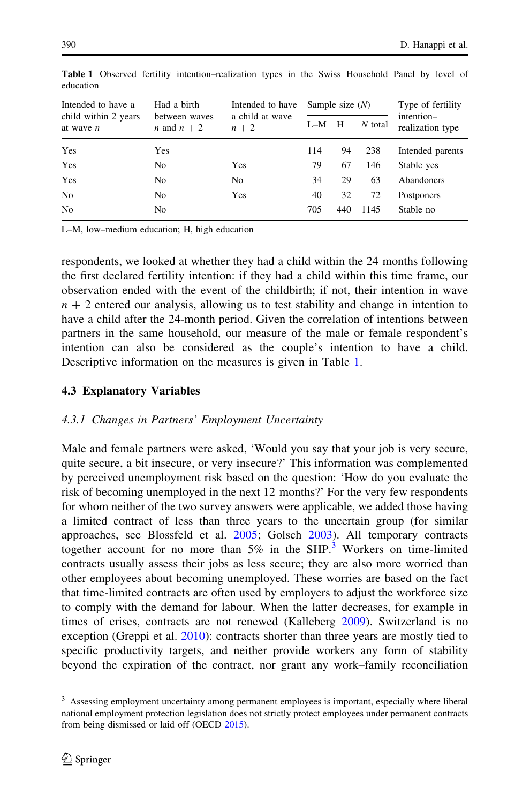| education                                |                                       |                            |                   |    |         |                                 |
|------------------------------------------|---------------------------------------|----------------------------|-------------------|----|---------|---------------------------------|
| Intended to have a                       | Had a birth                           | Intended to have           | Sample size $(N)$ |    |         | Type of fertility<br>intention- |
| child within 2 years<br>at wave <i>n</i> | between waves<br><i>n</i> and $n + 2$ | a child at wave<br>$n + 2$ | L-M H             |    | N total | realization type                |
| Yes                                      | Yes                                   |                            | 114               | 94 | 238     | Intended parents                |
| Yes                                      | No                                    | Yes                        | 79                | 67 | 146     | Stable yes                      |

Yes No No 34 29 63 Abandoners No No Yes 40 32 72 Postponers No 1145 Stable no No 100 1145 No 1145 Stable no

<span id="page-9-0"></span>Table 1 Observed fertility intention–realization types in the Swiss Household Panel by level of education

L–M, low–medium education; H, high education

respondents, we looked at whether they had a child within the 24 months following the first declared fertility intention: if they had a child within this time frame, our observation ended with the event of the childbirth; if not, their intention in wave  $n + 2$  entered our analysis, allowing us to test stability and change in intention to have a child after the 24-month period. Given the correlation of intentions between partners in the same household, our measure of the male or female respondent's intention can also be considered as the couple's intention to have a child. Descriptive information on the measures is given in Table 1.

# 4.3 Explanatory Variables

## 4.3.1 Changes in Partners' Employment Uncertainty

Male and female partners were asked, 'Would you say that your job is very secure, quite secure, a bit insecure, or very insecure?' This information was complemented by perceived unemployment risk based on the question: 'How do you evaluate the risk of becoming unemployed in the next 12 months?' For the very few respondents for whom neither of the two survey answers were applicable, we added those having a limited contract of less than three years to the uncertain group (for similar approaches, see Blossfeld et al. [2005;](#page-23-0) Golsch [2003\)](#page-24-0). All temporary contracts together account for no more than  $5\%$  in the SHP.<sup>3</sup> Workers on time-limited contracts usually assess their jobs as less secure; they are also more worried than other employees about becoming unemployed. These worries are based on the fact that time-limited contracts are often used by employers to adjust the workforce size to comply with the demand for labour. When the latter decreases, for example in times of crises, contracts are not renewed (Kalleberg [2009](#page-24-0)). Switzerland is no exception (Greppi et al.  $2010$ ): contracts shorter than three years are mostly tied to specific productivity targets, and neither provide workers any form of stability beyond the expiration of the contract, nor grant any work–family reconciliation

<sup>&</sup>lt;sup>3</sup> Assessing employment uncertainty among permanent employees is important, especially where liberal national employment protection legislation does not strictly protect employees under permanent contracts from being dismissed or laid off (OECD [2015](#page-25-0)).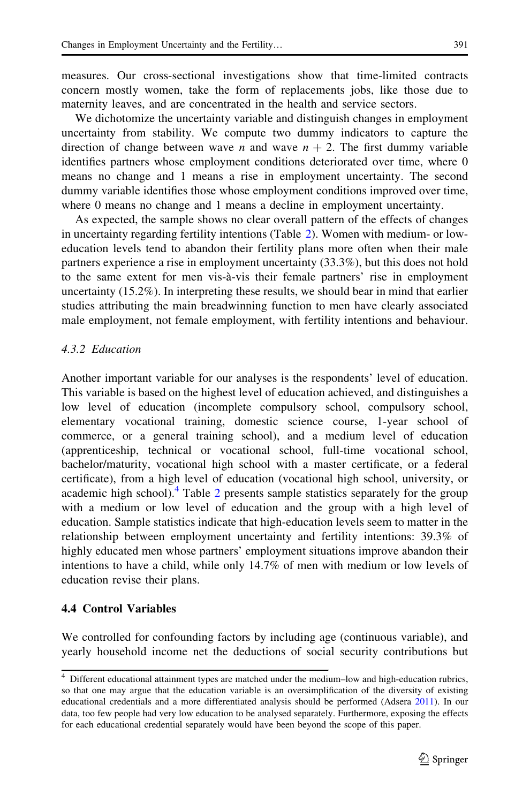measures. Our cross-sectional investigations show that time-limited contracts concern mostly women, take the form of replacements jobs, like those due to maternity leaves, and are concentrated in the health and service sectors.

We dichotomize the uncertainty variable and distinguish changes in employment uncertainty from stability. We compute two dummy indicators to capture the direction of change between wave n and wave  $n + 2$ . The first dummy variable identifies partners whose employment conditions deteriorated over time, where 0 means no change and 1 means a rise in employment uncertainty. The second dummy variable identifies those whose employment conditions improved over time, where 0 means no change and 1 means a decline in employment uncertainty.

As expected, the sample shows no clear overall pattern of the effects of changes in uncertainty regarding fertility intentions (Table [2](#page-11-0)). Women with medium- or loweducation levels tend to abandon their fertility plans more often when their male partners experience a rise in employment uncertainty (33.3%), but this does not hold to the same extent for men vis-a`-vis their female partners' rise in employment uncertainty (15.2%). In interpreting these results, we should bear in mind that earlier studies attributing the main breadwinning function to men have clearly associated male employment, not female employment, with fertility intentions and behaviour.

## 4.3.2 Education

Another important variable for our analyses is the respondents' level of education. This variable is based on the highest level of education achieved, and distinguishes a low level of education (incomplete compulsory school, compulsory school, elementary vocational training, domestic science course, 1-year school of commerce, or a general training school), and a medium level of education (apprenticeship, technical or vocational school, full-time vocational school, bachelor/maturity, vocational high school with a master certificate, or a federal certificate), from a high level of education (vocational high school, university, or academic high school). $4$  Table [2](#page-11-0) presents sample statistics separately for the group with a medium or low level of education and the group with a high level of education. Sample statistics indicate that high-education levels seem to matter in the relationship between employment uncertainty and fertility intentions: 39.3% of highly educated men whose partners' employment situations improve abandon their intentions to have a child, while only 14.7% of men with medium or low levels of education revise their plans.

## 4.4 Control Variables

We controlled for confounding factors by including age (continuous variable), and yearly household income net the deductions of social security contributions but

<sup>&</sup>lt;sup>4</sup> Different educational attainment types are matched under the medium–low and high-education rubrics, so that one may argue that the education variable is an oversimplification of the diversity of existing educational credentials and a more differentiated analysis should be performed (Adsera [2011](#page-23-0)). In our data, too few people had very low education to be analysed separately. Furthermore, exposing the effects for each educational credential separately would have been beyond the scope of this paper.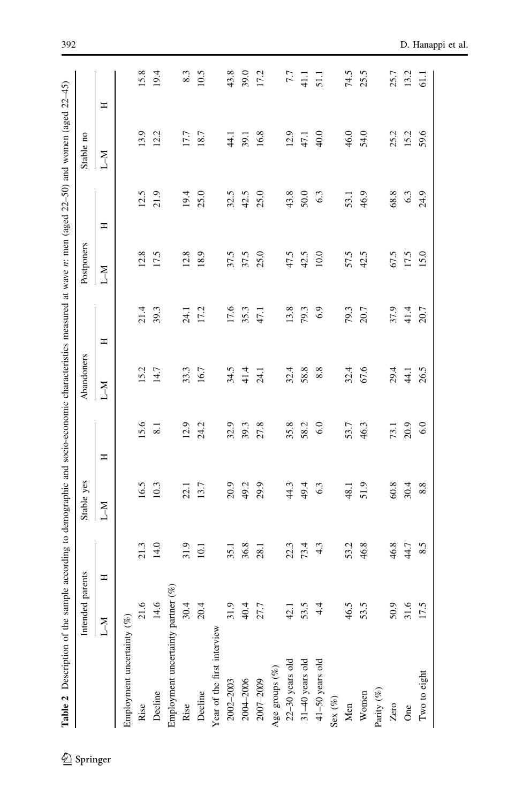<span id="page-11-0"></span>

| Ξ<br>59.6<br>46.0<br>54.0<br>25.2<br>13.9<br>12.2<br>18.7<br>16.8<br>12.9<br>40.0<br>15.2<br>17.7<br>44.1<br>47.1<br>39.1<br>N-1<br>68.8<br>12.5<br>21.9<br>19.4<br>25.0<br>32.5<br>42.5<br>25.0<br>43.8<br>50.0<br>46.9<br>63<br>24.9<br>6.3<br>53.1<br>Ξ<br>42.5<br>12.8<br>17.5<br>18.9<br>37.5<br>37.5<br>25.0<br>47.5<br>42.5<br>57.5<br>17.5<br>12.8<br>10.0<br>67.5<br>15.0<br>N-1<br>21.4<br>39.3<br>17.6<br>13.8<br>6.9<br>79.3<br>20.7<br>37.9<br>41.4<br>20.7<br>17.2<br>35.3<br>79.3<br>47.1<br>24.1<br>Ξ<br>58.8<br>${}^{\circ}$<br>67.6<br>34.5<br>26.5<br>15.2<br>14.7<br>33.3<br>16.7<br>41.4<br>32.4<br>32.4<br>29.4<br>44.1<br>24.1<br>∞<br>N-1<br>15.6<br>35.8<br>12.9<br>24.2<br>32.9<br>39.3<br>27.8<br>58.2<br>6.0<br>53.7<br>46.3<br>20.9<br>6.0<br>8.1<br>73.1<br>Ξ<br>8.8<br>20.9<br>16.5<br>10.3<br>13.7<br>49.2<br>29.9<br>44.3<br>6.3<br>51.9<br>60.8<br>30.4<br>49.4<br>48.1<br>22.1<br>$N-1$<br>14.0<br>31.9<br>36.8<br>53.2<br>46.8<br>46.8<br>44.7<br>8.5<br>21.3<br>22.3<br>73.4<br>4.3<br>35.1<br>10.1<br>28.1<br>Ξ<br>$(\%)$<br>21.6<br>14.6<br>Employment uncertainty partner<br>30.4<br>20.4<br>31.9<br>40.4<br>27.7<br>42.1<br>53.5<br>4.4<br>46.5<br>53.5<br>50.9<br>31.6<br>17.5<br>Employment uncertainty (%)<br>$N-1$<br>Year of the first interview<br>Age groups $\frac{\frac{6}{6}}{22-30}$ years old<br>31-40 years old<br>$41-50$ years old<br>Two to eight<br>2004-2006<br>2007-2009<br>2002-2003<br>Parity $(\%)$<br>Decline<br>Decline<br>Women<br>Sex $(\%)$<br>Rise<br>Rise<br>Zero<br>Men<br>One | Intended | parents | Stable yes | Abandoners | Postponers | $\mathbf{r}$<br>Stable |      |
|-------------------------------------------------------------------------------------------------------------------------------------------------------------------------------------------------------------------------------------------------------------------------------------------------------------------------------------------------------------------------------------------------------------------------------------------------------------------------------------------------------------------------------------------------------------------------------------------------------------------------------------------------------------------------------------------------------------------------------------------------------------------------------------------------------------------------------------------------------------------------------------------------------------------------------------------------------------------------------------------------------------------------------------------------------------------------------------------------------------------------------------------------------------------------------------------------------------------------------------------------------------------------------------------------------------------------------------------------------------------------------------------------------------------------------------------------------------------------------------------------------------------------------------------------------|----------|---------|------------|------------|------------|------------------------|------|
|                                                                                                                                                                                                                                                                                                                                                                                                                                                                                                                                                                                                                                                                                                                                                                                                                                                                                                                                                                                                                                                                                                                                                                                                                                                                                                                                                                                                                                                                                                                                                       |          |         |            |            |            |                        |      |
|                                                                                                                                                                                                                                                                                                                                                                                                                                                                                                                                                                                                                                                                                                                                                                                                                                                                                                                                                                                                                                                                                                                                                                                                                                                                                                                                                                                                                                                                                                                                                       |          |         |            |            |            |                        |      |
|                                                                                                                                                                                                                                                                                                                                                                                                                                                                                                                                                                                                                                                                                                                                                                                                                                                                                                                                                                                                                                                                                                                                                                                                                                                                                                                                                                                                                                                                                                                                                       |          |         |            |            |            |                        | 15.8 |
|                                                                                                                                                                                                                                                                                                                                                                                                                                                                                                                                                                                                                                                                                                                                                                                                                                                                                                                                                                                                                                                                                                                                                                                                                                                                                                                                                                                                                                                                                                                                                       |          |         |            |            |            |                        | 19.4 |
|                                                                                                                                                                                                                                                                                                                                                                                                                                                                                                                                                                                                                                                                                                                                                                                                                                                                                                                                                                                                                                                                                                                                                                                                                                                                                                                                                                                                                                                                                                                                                       |          |         |            |            |            |                        |      |
|                                                                                                                                                                                                                                                                                                                                                                                                                                                                                                                                                                                                                                                                                                                                                                                                                                                                                                                                                                                                                                                                                                                                                                                                                                                                                                                                                                                                                                                                                                                                                       |          |         |            |            |            |                        | 8.3  |
|                                                                                                                                                                                                                                                                                                                                                                                                                                                                                                                                                                                                                                                                                                                                                                                                                                                                                                                                                                                                                                                                                                                                                                                                                                                                                                                                                                                                                                                                                                                                                       |          |         |            |            |            |                        | 10.5 |
|                                                                                                                                                                                                                                                                                                                                                                                                                                                                                                                                                                                                                                                                                                                                                                                                                                                                                                                                                                                                                                                                                                                                                                                                                                                                                                                                                                                                                                                                                                                                                       |          |         |            |            |            |                        |      |
|                                                                                                                                                                                                                                                                                                                                                                                                                                                                                                                                                                                                                                                                                                                                                                                                                                                                                                                                                                                                                                                                                                                                                                                                                                                                                                                                                                                                                                                                                                                                                       |          |         |            |            |            |                        | 43.8 |
|                                                                                                                                                                                                                                                                                                                                                                                                                                                                                                                                                                                                                                                                                                                                                                                                                                                                                                                                                                                                                                                                                                                                                                                                                                                                                                                                                                                                                                                                                                                                                       |          |         |            |            |            |                        | 39.0 |
|                                                                                                                                                                                                                                                                                                                                                                                                                                                                                                                                                                                                                                                                                                                                                                                                                                                                                                                                                                                                                                                                                                                                                                                                                                                                                                                                                                                                                                                                                                                                                       |          |         |            |            |            |                        | 17.2 |
|                                                                                                                                                                                                                                                                                                                                                                                                                                                                                                                                                                                                                                                                                                                                                                                                                                                                                                                                                                                                                                                                                                                                                                                                                                                                                                                                                                                                                                                                                                                                                       |          |         |            |            |            |                        |      |
|                                                                                                                                                                                                                                                                                                                                                                                                                                                                                                                                                                                                                                                                                                                                                                                                                                                                                                                                                                                                                                                                                                                                                                                                                                                                                                                                                                                                                                                                                                                                                       |          |         |            |            |            |                        | 7.7  |
|                                                                                                                                                                                                                                                                                                                                                                                                                                                                                                                                                                                                                                                                                                                                                                                                                                                                                                                                                                                                                                                                                                                                                                                                                                                                                                                                                                                                                                                                                                                                                       |          |         |            |            |            |                        | 41.1 |
|                                                                                                                                                                                                                                                                                                                                                                                                                                                                                                                                                                                                                                                                                                                                                                                                                                                                                                                                                                                                                                                                                                                                                                                                                                                                                                                                                                                                                                                                                                                                                       |          |         |            |            |            |                        | 51.1 |
|                                                                                                                                                                                                                                                                                                                                                                                                                                                                                                                                                                                                                                                                                                                                                                                                                                                                                                                                                                                                                                                                                                                                                                                                                                                                                                                                                                                                                                                                                                                                                       |          |         |            |            |            |                        |      |
|                                                                                                                                                                                                                                                                                                                                                                                                                                                                                                                                                                                                                                                                                                                                                                                                                                                                                                                                                                                                                                                                                                                                                                                                                                                                                                                                                                                                                                                                                                                                                       |          |         |            |            |            |                        | 74.5 |
|                                                                                                                                                                                                                                                                                                                                                                                                                                                                                                                                                                                                                                                                                                                                                                                                                                                                                                                                                                                                                                                                                                                                                                                                                                                                                                                                                                                                                                                                                                                                                       |          |         |            |            |            |                        | 25.5 |
|                                                                                                                                                                                                                                                                                                                                                                                                                                                                                                                                                                                                                                                                                                                                                                                                                                                                                                                                                                                                                                                                                                                                                                                                                                                                                                                                                                                                                                                                                                                                                       |          |         |            |            |            |                        |      |
|                                                                                                                                                                                                                                                                                                                                                                                                                                                                                                                                                                                                                                                                                                                                                                                                                                                                                                                                                                                                                                                                                                                                                                                                                                                                                                                                                                                                                                                                                                                                                       |          |         |            |            |            |                        | 25.7 |
|                                                                                                                                                                                                                                                                                                                                                                                                                                                                                                                                                                                                                                                                                                                                                                                                                                                                                                                                                                                                                                                                                                                                                                                                                                                                                                                                                                                                                                                                                                                                                       |          |         |            |            |            |                        | 13.2 |
|                                                                                                                                                                                                                                                                                                                                                                                                                                                                                                                                                                                                                                                                                                                                                                                                                                                                                                                                                                                                                                                                                                                                                                                                                                                                                                                                                                                                                                                                                                                                                       |          |         |            |            |            |                        | 61.1 |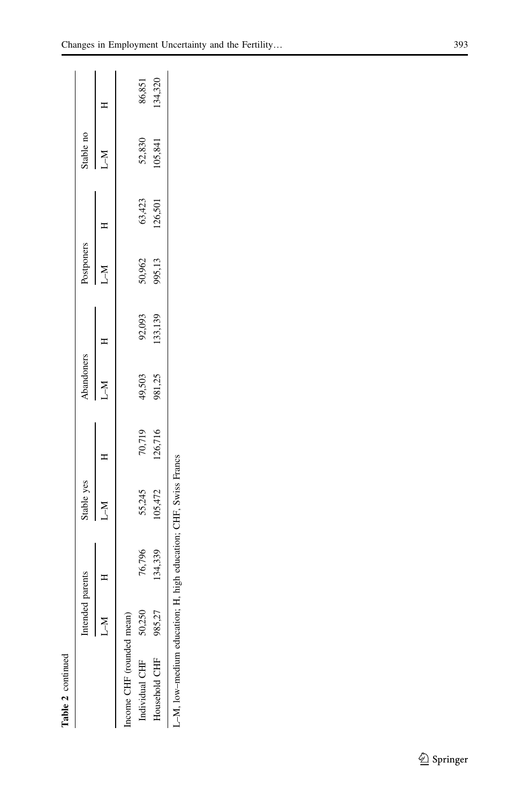| ¢ |
|---|
|   |
| i |
|   |

|                           | Intended parents |         | Stable yes        |         | Abandoners |         | Postponers |         | Stable no |                   |
|---------------------------|------------------|---------|-------------------|---------|------------|---------|------------|---------|-----------|-------------------|
|                           | $\mathbb{F}_T$   |         | $M-1$             |         | $N-1$      |         | $N-1$      |         | N-T       | I                 |
| Income CHF (rounded mean) |                  |         |                   |         |            |         |            |         |           |                   |
| Individual CHF            | 50,250           | 76,796  |                   | 70,719  | 49,503     | 92,093  | 50,962     | 63,423  | 52,830    |                   |
| Household CHF 985,27      |                  | 134,339 | 55,245<br>105,472 | 126,716 | 981,25     | 133,139 | 995,13     | 126,501 | 105,841   | 86,851<br>134,320 |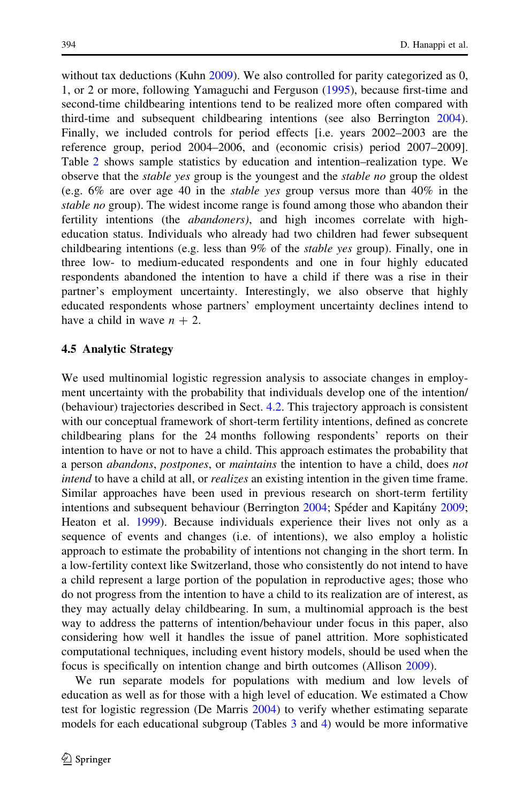without tax deductions (Kuhn [2009](#page-24-0)). We also controlled for parity categorized as 0, 1, or 2 or more, following Yamaguchi and Ferguson ([1995\)](#page-26-0), because first-time and second-time childbearing intentions tend to be realized more often compared with third-time and subsequent childbearing intentions (see also Berrington [2004\)](#page-23-0). Finally, we included controls for period effects [i.e. years 2002–2003 are the reference group, period 2004–2006, and (economic crisis) period 2007–2009]. Table [2](#page-11-0) shows sample statistics by education and intention–realization type. We observe that the *stable yes* group is the youngest and the *stable no* group the oldest (e.g. 6% are over age 40 in the stable yes group versus more than 40% in the stable no group). The widest income range is found among those who abandon their fertility intentions (the *abandoners*), and high incomes correlate with higheducation status. Individuals who already had two children had fewer subsequent childbearing intentions (e.g. less than  $9\%$  of the *stable yes* group). Finally, one in three low- to medium-educated respondents and one in four highly educated respondents abandoned the intention to have a child if there was a rise in their partner's employment uncertainty. Interestingly, we also observe that highly educated respondents whose partners' employment uncertainty declines intend to have a child in wave  $n + 2$ .

#### 4.5 Analytic Strategy

We used multinomial logistic regression analysis to associate changes in employment uncertainty with the probability that individuals develop one of the intention/ (behaviour) trajectories described in Sect. [4.2](#page-8-0). This trajectory approach is consistent with our conceptual framework of short-term fertility intentions, defined as concrete childbearing plans for the 24 months following respondents' reports on their intention to have or not to have a child. This approach estimates the probability that a person abandons, postpones, or maintains the intention to have a child, does not intend to have a child at all, or realizes an existing intention in the given time frame. Similar approaches have been used in previous research on short-term fertility intentions and subsequent behaviour (Berrington [2004;](#page-23-0) Spéder and Kapitány [2009;](#page-26-0) Heaton et al. [1999\)](#page-24-0). Because individuals experience their lives not only as a sequence of events and changes (i.e. of intentions), we also employ a holistic approach to estimate the probability of intentions not changing in the short term. In a low-fertility context like Switzerland, those who consistently do not intend to have a child represent a large portion of the population in reproductive ages; those who do not progress from the intention to have a child to its realization are of interest, as they may actually delay childbearing. In sum, a multinomial approach is the best way to address the patterns of intention/behaviour under focus in this paper, also considering how well it handles the issue of panel attrition. More sophisticated computational techniques, including event history models, should be used when the focus is specifically on intention change and birth outcomes (Allison [2009\)](#page-23-0).

We run separate models for populations with medium and low levels of education as well as for those with a high level of education. We estimated a Chow test for logistic regression (De Marris [2004](#page-24-0)) to verify whether estimating separate models for each educational subgroup (Tables [3](#page-14-0) and [4\)](#page-15-0) would be more informative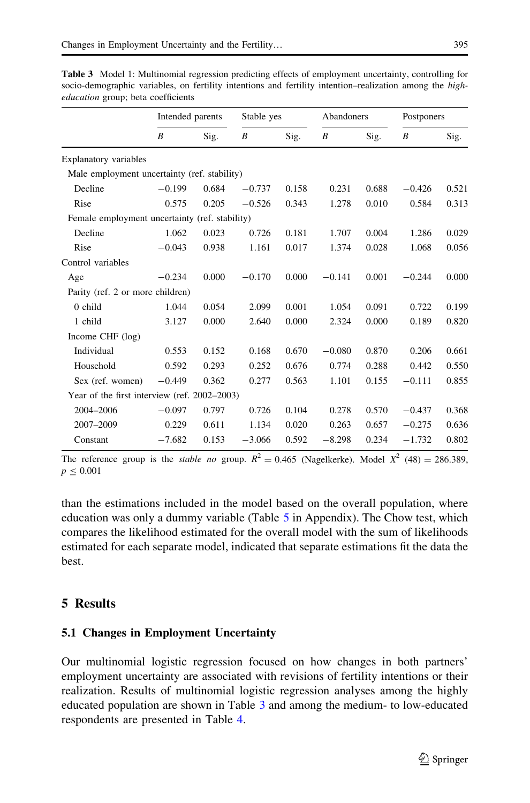|                                                | Intended parents |       | Stable yes       |       | Abandoners       |       | Postponers |       |
|------------------------------------------------|------------------|-------|------------------|-------|------------------|-------|------------|-------|
|                                                | $\boldsymbol{B}$ | Sig.  | $\boldsymbol{B}$ | Sig.  | $\boldsymbol{B}$ | Sig.  | B          | Sig.  |
| Explanatory variables                          |                  |       |                  |       |                  |       |            |       |
| Male employment uncertainty (ref. stability)   |                  |       |                  |       |                  |       |            |       |
| Decline                                        | $-0.199$         | 0.684 | $-0.737$         | 0.158 | 0.231            | 0.688 | $-0.426$   | 0.521 |
| Rise                                           | 0.575            | 0.205 | $-0.526$         | 0.343 | 1.278            | 0.010 | 0.584      | 0.313 |
| Female employment uncertainty (ref. stability) |                  |       |                  |       |                  |       |            |       |
| Decline                                        | 1.062            | 0.023 | 0.726            | 0.181 | 1.707            | 0.004 | 1.286      | 0.029 |
| Rise                                           | $-0.043$         | 0.938 | 1.161            | 0.017 | 1.374            | 0.028 | 1.068      | 0.056 |
| Control variables                              |                  |       |                  |       |                  |       |            |       |
| Age                                            | $-0.234$         | 0.000 | $-0.170$         | 0.000 | $-0.141$         | 0.001 | $-0.244$   | 0.000 |
| Parity (ref. 2 or more children)               |                  |       |                  |       |                  |       |            |       |
| 0 child                                        | 1.044            | 0.054 | 2.099            | 0.001 | 1.054            | 0.091 | 0.722      | 0.199 |
| 1 child                                        | 3.127            | 0.000 | 2.640            | 0.000 | 2.324            | 0.000 | 0.189      | 0.820 |
| Income CHF $(log)$                             |                  |       |                  |       |                  |       |            |       |
| Individual                                     | 0.553            | 0.152 | 0.168            | 0.670 | $-0.080$         | 0.870 | 0.206      | 0.661 |
| Household                                      | 0.592            | 0.293 | 0.252            | 0.676 | 0.774            | 0.288 | 0.442      | 0.550 |
| Sex (ref. women)                               | $-0.449$         | 0.362 | 0.277            | 0.563 | 1.101            | 0.155 | $-0.111$   | 0.855 |
| Year of the first interview (ref. 2002–2003)   |                  |       |                  |       |                  |       |            |       |
| 2004-2006                                      | $-0.097$         | 0.797 | 0.726            | 0.104 | 0.278            | 0.570 | $-0.437$   | 0.368 |
| 2007-2009                                      | 0.229            | 0.611 | 1.134            | 0.020 | 0.263            | 0.657 | $-0.275$   | 0.636 |
| Constant                                       | $-7.682$         | 0.153 | $-3.066$         | 0.592 | $-8.298$         | 0.234 | $-1.732$   | 0.802 |

<span id="page-14-0"></span>Table 3 Model 1: Multinomial regression predicting effects of employment uncertainty, controlling for socio-demographic variables, on fertility intentions and fertility intention–realization among the higheducation group; beta coefficients

The reference group is the *stable no* group.  $R^2 = 0.465$  (Nagelkerke). Model  $X^2$  (48) = 286.389,  $p \le 0.001$ 

than the estimations included in the model based on the overall population, where education was only a dummy variable (Table [5](#page-21-0) in Appendix). The Chow test, which compares the likelihood estimated for the overall model with the sum of likelihoods estimated for each separate model, indicated that separate estimations fit the data the best.

# 5 Results

# 5.1 Changes in Employment Uncertainty

Our multinomial logistic regression focused on how changes in both partners' employment uncertainty are associated with revisions of fertility intentions or their realization. Results of multinomial logistic regression analyses among the highly educated population are shown in Table 3 and among the medium- to low-educated respondents are presented in Table [4.](#page-15-0)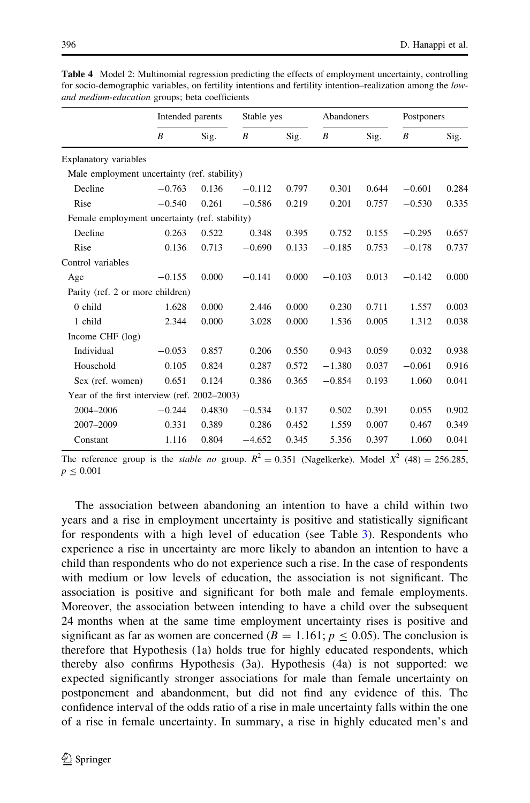|                                                | Intended parents |        | Stable yes |       | Abandoners |       | Postponers |       |
|------------------------------------------------|------------------|--------|------------|-------|------------|-------|------------|-------|
|                                                | B                | Sig.   | B          | Sig.  | B          | Sig.  | B          | Sig.  |
| Explanatory variables                          |                  |        |            |       |            |       |            |       |
| Male employment uncertainty (ref. stability)   |                  |        |            |       |            |       |            |       |
| Decline                                        | $-0.763$         | 0.136  | $-0.112$   | 0.797 | 0.301      | 0.644 | $-0.601$   | 0.284 |
| Rise                                           | $-0.540$         | 0.261  | $-0.586$   | 0.219 | 0.201      | 0.757 | $-0.530$   | 0.335 |
| Female employment uncertainty (ref. stability) |                  |        |            |       |            |       |            |       |
| Decline                                        | 0.263            | 0.522  | 0.348      | 0.395 | 0.752      | 0.155 | $-0.295$   | 0.657 |
| Rise                                           | 0.136            | 0.713  | $-0.690$   | 0.133 | $-0.185$   | 0.753 | $-0.178$   | 0.737 |
| Control variables                              |                  |        |            |       |            |       |            |       |
| Age                                            | $-0.155$         | 0.000  | $-0.141$   | 0.000 | $-0.103$   | 0.013 | $-0.142$   | 0.000 |
| Parity (ref. 2 or more children)               |                  |        |            |       |            |       |            |       |
| 0 child                                        | 1.628            | 0.000  | 2.446      | 0.000 | 0.230      | 0.711 | 1.557      | 0.003 |
| 1 child                                        | 2.344            | 0.000  | 3.028      | 0.000 | 1.536      | 0.005 | 1.312      | 0.038 |
| Income CHF $(log)$                             |                  |        |            |       |            |       |            |       |
| Individual                                     | $-0.053$         | 0.857  | 0.206      | 0.550 | 0.943      | 0.059 | 0.032      | 0.938 |
| Household                                      | 0.105            | 0.824  | 0.287      | 0.572 | $-1.380$   | 0.037 | $-0.061$   | 0.916 |
| Sex (ref. women)                               | 0.651            | 0.124  | 0.386      | 0.365 | $-0.854$   | 0.193 | 1.060      | 0.041 |
| Year of the first interview (ref. 2002–2003)   |                  |        |            |       |            |       |            |       |
| 2004-2006                                      | $-0.244$         | 0.4830 | $-0.534$   | 0.137 | 0.502      | 0.391 | 0.055      | 0.902 |
| 2007-2009                                      | 0.331            | 0.389  | 0.286      | 0.452 | 1.559      | 0.007 | 0.467      | 0.349 |
| Constant                                       | 1.116            | 0.804  | $-4.652$   | 0.345 | 5.356      | 0.397 | 1.060      | 0.041 |

<span id="page-15-0"></span>Table 4 Model 2: Multinomial regression predicting the effects of employment uncertainty, controlling for socio-demographic variables, on fertility intentions and fertility intention–realization among the lowand medium-education groups; beta coefficients

The reference group is the *stable no* group.  $R^2 = 0.351$  (Nagelkerke). Model  $X^2$  (48) = 256.285,  $p \le 0.001$ 

The association between abandoning an intention to have a child within two years and a rise in employment uncertainty is positive and statistically significant for respondents with a high level of education (see Table [3](#page-14-0)). Respondents who experience a rise in uncertainty are more likely to abandon an intention to have a child than respondents who do not experience such a rise. In the case of respondents with medium or low levels of education, the association is not significant. The association is positive and significant for both male and female employments. Moreover, the association between intending to have a child over the subsequent 24 months when at the same time employment uncertainty rises is positive and significant as far as women are concerned  $(B = 1.161; p < 0.05)$ . The conclusion is therefore that Hypothesis (1a) holds true for highly educated respondents, which thereby also confirms Hypothesis (3a). Hypothesis (4a) is not supported: we expected significantly stronger associations for male than female uncertainty on postponement and abandonment, but did not find any evidence of this. The confidence interval of the odds ratio of a rise in male uncertainty falls within the one of a rise in female uncertainty. In summary, a rise in highly educated men's and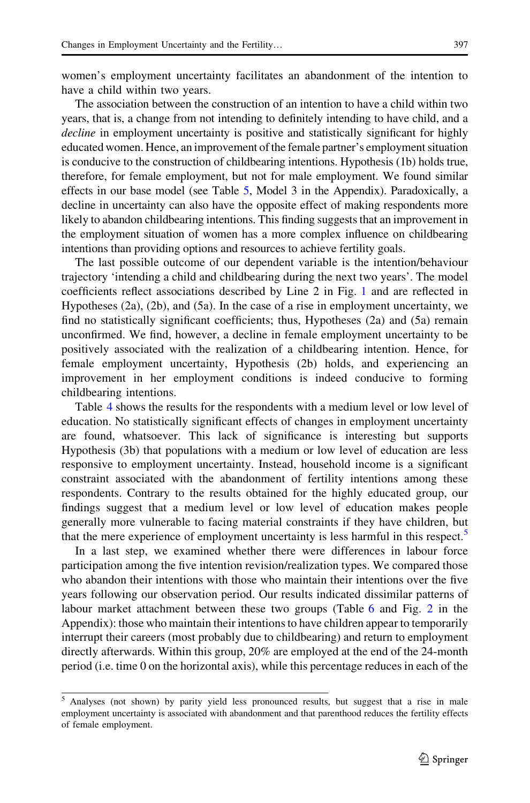women's employment uncertainty facilitates an abandonment of the intention to have a child within two years.

The association between the construction of an intention to have a child within two years, that is, a change from not intending to definitely intending to have child, and a decline in employment uncertainty is positive and statistically significant for highly educated women. Hence, an improvement of the female partner's employment situation is conducive to the construction of childbearing intentions. Hypothesis (1b) holds true, therefore, for female employment, but not for male employment. We found similar effects in our base model (see Table [5,](#page-21-0) Model 3 in the Appendix). Paradoxically, a decline in uncertainty can also have the opposite effect of making respondents more likely to abandon childbearing intentions. This finding suggests that an improvement in the employment situation of women has a more complex influence on childbearing intentions than providing options and resources to achieve fertility goals.

The last possible outcome of our dependent variable is the intention/behaviour trajectory 'intending a child and childbearing during the next two years'. The model coefficients reflect associations described by Line 2 in Fig. [1](#page-5-0) and are reflected in Hypotheses (2a), (2b), and (5a). In the case of a rise in employment uncertainty, we find no statistically significant coefficients; thus, Hypotheses (2a) and (5a) remain unconfirmed. We find, however, a decline in female employment uncertainty to be positively associated with the realization of a childbearing intention. Hence, for female employment uncertainty, Hypothesis (2b) holds, and experiencing an improvement in her employment conditions is indeed conducive to forming childbearing intentions.

Table [4](#page-15-0) shows the results for the respondents with a medium level or low level of education. No statistically significant effects of changes in employment uncertainty are found, whatsoever. This lack of significance is interesting but supports Hypothesis (3b) that populations with a medium or low level of education are less responsive to employment uncertainty. Instead, household income is a significant constraint associated with the abandonment of fertility intentions among these respondents. Contrary to the results obtained for the highly educated group, our findings suggest that a medium level or low level of education makes people generally more vulnerable to facing material constraints if they have children, but that the mere experience of employment uncertainty is less harmful in this respect.<sup>5</sup>

In a last step, we examined whether there were differences in labour force participation among the five intention revision/realization types. We compared those who abandon their intentions with those who maintain their intentions over the five years following our observation period. Our results indicated dissimilar patterns of labour market attachment between these two groups (Table [6](#page-22-0) and Fig. [2](#page-22-0) in the Appendix): those who maintain their intentions to have children appear to temporarily interrupt their careers (most probably due to childbearing) and return to employment directly afterwards. Within this group, 20% are employed at the end of the 24-month period (i.e. time 0 on the horizontal axis), while this percentage reduces in each of the

<sup>5</sup> Analyses (not shown) by parity yield less pronounced results, but suggest that a rise in male employment uncertainty is associated with abandonment and that parenthood reduces the fertility effects of female employment.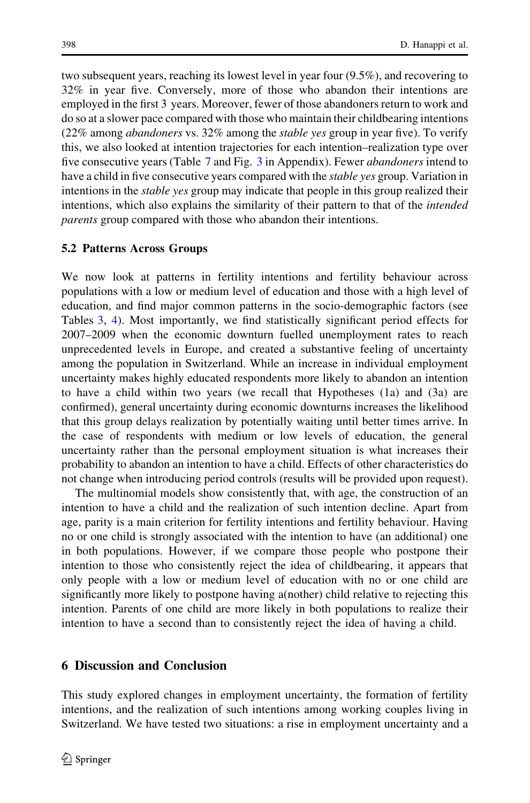two subsequent years, reaching its lowest level in year four (9.5%), and recovering to 32% in year five. Conversely, more of those who abandon their intentions are employed in the first 3 years. Moreover, fewer of those abandoners return to work and do so at a slower pace compared with those who maintain their childbearing intentions  $(22\%$  among *abandoners* vs.  $32\%$  among the *stable yes* group in year five). To verify this, we also looked at intention trajectories for each intention–realization type over five consecutive years (Table [7](#page-22-0) and Fig. [3](#page-23-0) in Appendix). Fewer abandoners intend to have a child in five consecutive years compared with the *stable yes* group. Variation in intentions in the *stable yes* group may indicate that people in this group realized their intentions, which also explains the similarity of their pattern to that of the intended parents group compared with those who abandon their intentions.

#### 5.2 Patterns Across Groups

We now look at patterns in fertility intentions and fertility behaviour across populations with a low or medium level of education and those with a high level of education, and find major common patterns in the socio-demographic factors (see Tables [3](#page-14-0), [4\)](#page-15-0). Most importantly, we find statistically significant period effects for 2007–2009 when the economic downturn fuelled unemployment rates to reach unprecedented levels in Europe, and created a substantive feeling of uncertainty among the population in Switzerland. While an increase in individual employment uncertainty makes highly educated respondents more likely to abandon an intention to have a child within two years (we recall that Hypotheses (1a) and (3a) are confirmed), general uncertainty during economic downturns increases the likelihood that this group delays realization by potentially waiting until better times arrive. In the case of respondents with medium or low levels of education, the general uncertainty rather than the personal employment situation is what increases their probability to abandon an intention to have a child. Effects of other characteristics do not change when introducing period controls (results will be provided upon request).

The multinomial models show consistently that, with age, the construction of an intention to have a child and the realization of such intention decline. Apart from age, parity is a main criterion for fertility intentions and fertility behaviour. Having no or one child is strongly associated with the intention to have (an additional) one in both populations. However, if we compare those people who postpone their intention to those who consistently reject the idea of childbearing, it appears that only people with a low or medium level of education with no or one child are significantly more likely to postpone having a(nother) child relative to rejecting this intention. Parents of one child are more likely in both populations to realize their intention to have a second than to consistently reject the idea of having a child.

#### 6 Discussion and Conclusion

This study explored changes in employment uncertainty, the formation of fertility intentions, and the realization of such intentions among working couples living in Switzerland. We have tested two situations: a rise in employment uncertainty and a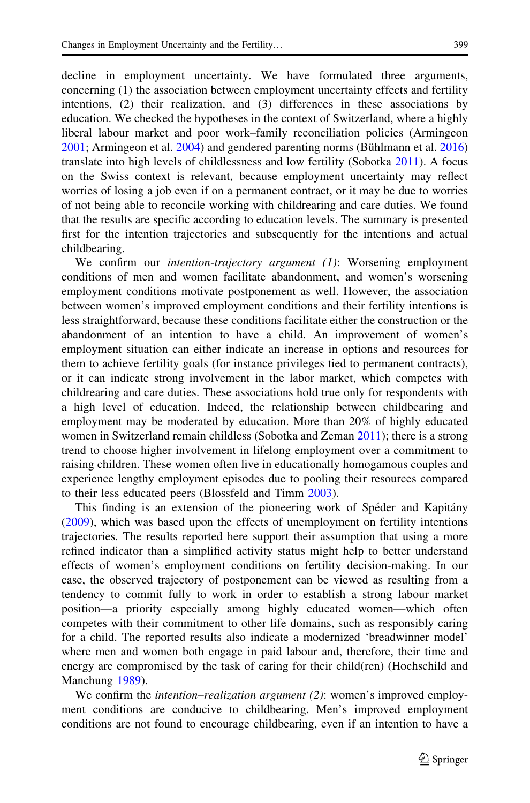decline in employment uncertainty. We have formulated three arguments, concerning (1) the association between employment uncertainty effects and fertility intentions, (2) their realization, and (3) differences in these associations by education. We checked the hypotheses in the context of Switzerland, where a highly liberal labour market and poor work–family reconciliation policies (Armingeon  $2001$ ; Armingeon et al.  $2004$ ) and gendered parenting norms (Bühlmann et al.  $2016$ ) translate into high levels of childlessness and low fertility (Sobotka [2011\)](#page-26-0). A focus on the Swiss context is relevant, because employment uncertainty may reflect worries of losing a job even if on a permanent contract, or it may be due to worries of not being able to reconcile working with childrearing and care duties. We found that the results are specific according to education levels. The summary is presented first for the intention trajectories and subsequently for the intentions and actual childbearing.

We confirm our *intention-trajectory argument (1)*: Worsening employment conditions of men and women facilitate abandonment, and women's worsening employment conditions motivate postponement as well. However, the association between women's improved employment conditions and their fertility intentions is less straightforward, because these conditions facilitate either the construction or the abandonment of an intention to have a child. An improvement of women's employment situation can either indicate an increase in options and resources for them to achieve fertility goals (for instance privileges tied to permanent contracts), or it can indicate strong involvement in the labor market, which competes with childrearing and care duties. These associations hold true only for respondents with a high level of education. Indeed, the relationship between childbearing and employment may be moderated by education. More than 20% of highly educated women in Switzerland remain childless (Sobotka and Zeman [2011\)](#page-26-0); there is a strong trend to choose higher involvement in lifelong employment over a commitment to raising children. These women often live in educationally homogamous couples and experience lengthy employment episodes due to pooling their resources compared to their less educated peers (Blossfeld and Timm [2003\)](#page-23-0).

This finding is an extension of the pioneering work of Spéder and Kapitány [\(2009](#page-26-0)), which was based upon the effects of unemployment on fertility intentions trajectories. The results reported here support their assumption that using a more refined indicator than a simplified activity status might help to better understand effects of women's employment conditions on fertility decision-making. In our case, the observed trajectory of postponement can be viewed as resulting from a tendency to commit fully to work in order to establish a strong labour market position—a priority especially among highly educated women—which often competes with their commitment to other life domains, such as responsibly caring for a child. The reported results also indicate a modernized 'breadwinner model' where men and women both engage in paid labour and, therefore, their time and energy are compromised by the task of caring for their child(ren) (Hochschild and Manchung [1989](#page-24-0)).

We confirm the *intention–realization argument* (2): women's improved employment conditions are conducive to childbearing. Men's improved employment conditions are not found to encourage childbearing, even if an intention to have a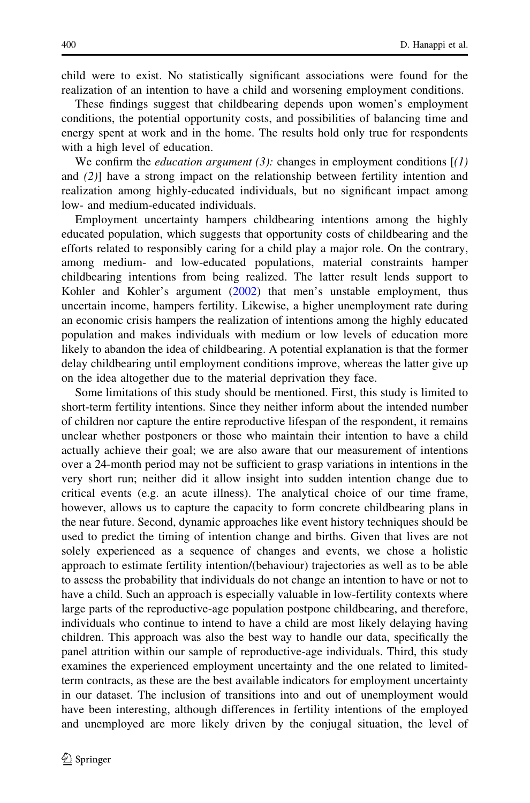child were to exist. No statistically significant associations were found for the realization of an intention to have a child and worsening employment conditions.

These findings suggest that childbearing depends upon women's employment conditions, the potential opportunity costs, and possibilities of balancing time and energy spent at work and in the home. The results hold only true for respondents with a high level of education.

We confirm the *education argument* (3): changes in employment conditions  $[(1)]$ and (2)] have a strong impact on the relationship between fertility intention and realization among highly-educated individuals, but no significant impact among low- and medium-educated individuals.

Employment uncertainty hampers childbearing intentions among the highly educated population, which suggests that opportunity costs of childbearing and the efforts related to responsibly caring for a child play a major role. On the contrary, among medium- and low-educated populations, material constraints hamper childbearing intentions from being realized. The latter result lends support to Kohler and Kohler's argument [\(2002](#page-24-0)) that men's unstable employment, thus uncertain income, hampers fertility. Likewise, a higher unemployment rate during an economic crisis hampers the realization of intentions among the highly educated population and makes individuals with medium or low levels of education more likely to abandon the idea of childbearing. A potential explanation is that the former delay childbearing until employment conditions improve, whereas the latter give up on the idea altogether due to the material deprivation they face.

Some limitations of this study should be mentioned. First, this study is limited to short-term fertility intentions. Since they neither inform about the intended number of children nor capture the entire reproductive lifespan of the respondent, it remains unclear whether postponers or those who maintain their intention to have a child actually achieve their goal; we are also aware that our measurement of intentions over a 24-month period may not be sufficient to grasp variations in intentions in the very short run; neither did it allow insight into sudden intention change due to critical events (e.g. an acute illness). The analytical choice of our time frame, however, allows us to capture the capacity to form concrete childbearing plans in the near future. Second, dynamic approaches like event history techniques should be used to predict the timing of intention change and births. Given that lives are not solely experienced as a sequence of changes and events, we chose a holistic approach to estimate fertility intention/(behaviour) trajectories as well as to be able to assess the probability that individuals do not change an intention to have or not to have a child. Such an approach is especially valuable in low-fertility contexts where large parts of the reproductive-age population postpone childbearing, and therefore, individuals who continue to intend to have a child are most likely delaying having children. This approach was also the best way to handle our data, specifically the panel attrition within our sample of reproductive-age individuals. Third, this study examines the experienced employment uncertainty and the one related to limitedterm contracts, as these are the best available indicators for employment uncertainty in our dataset. The inclusion of transitions into and out of unemployment would have been interesting, although differences in fertility intentions of the employed and unemployed are more likely driven by the conjugal situation, the level of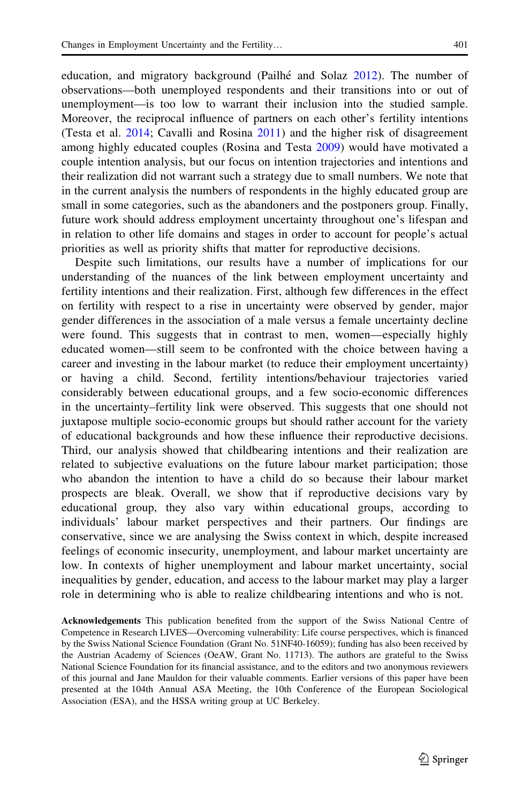education, and migratory background (Pailhé and Solaz [2012](#page-25-0)). The number of observations—both unemployed respondents and their transitions into or out of unemployment—is too low to warrant their inclusion into the studied sample. Moreover, the reciprocal influence of partners on each other's fertility intentions (Testa et al. [2014](#page-26-0); Cavalli and Rosina [2011](#page-24-0)) and the higher risk of disagreement among highly educated couples (Rosina and Testa [2009](#page-25-0)) would have motivated a couple intention analysis, but our focus on intention trajectories and intentions and their realization did not warrant such a strategy due to small numbers. We note that in the current analysis the numbers of respondents in the highly educated group are small in some categories, such as the abandoners and the postponers group. Finally, future work should address employment uncertainty throughout one's lifespan and in relation to other life domains and stages in order to account for people's actual priorities as well as priority shifts that matter for reproductive decisions.

Despite such limitations, our results have a number of implications for our understanding of the nuances of the link between employment uncertainty and fertility intentions and their realization. First, although few differences in the effect on fertility with respect to a rise in uncertainty were observed by gender, major gender differences in the association of a male versus a female uncertainty decline were found. This suggests that in contrast to men, women—especially highly educated women—still seem to be confronted with the choice between having a career and investing in the labour market (to reduce their employment uncertainty) or having a child. Second, fertility intentions/behaviour trajectories varied considerably between educational groups, and a few socio-economic differences in the uncertainty–fertility link were observed. This suggests that one should not juxtapose multiple socio-economic groups but should rather account for the variety of educational backgrounds and how these influence their reproductive decisions. Third, our analysis showed that childbearing intentions and their realization are related to subjective evaluations on the future labour market participation; those who abandon the intention to have a child do so because their labour market prospects are bleak. Overall, we show that if reproductive decisions vary by educational group, they also vary within educational groups, according to individuals' labour market perspectives and their partners. Our findings are conservative, since we are analysing the Swiss context in which, despite increased feelings of economic insecurity, unemployment, and labour market uncertainty are low. In contexts of higher unemployment and labour market uncertainty, social inequalities by gender, education, and access to the labour market may play a larger role in determining who is able to realize childbearing intentions and who is not.

Acknowledgements This publication benefited from the support of the Swiss National Centre of Competence in Research LIVES—Overcoming vulnerability: Life course perspectives, which is financed by the Swiss National Science Foundation (Grant No. 51NF40-16059); funding has also been received by the Austrian Academy of Sciences (OeAW, Grant No. 11713). The authors are grateful to the Swiss National Science Foundation for its financial assistance, and to the editors and two anonymous reviewers of this journal and Jane Mauldon for their valuable comments. Earlier versions of this paper have been presented at the 104th Annual ASA Meeting, the 10th Conference of the European Sociological Association (ESA), and the HSSA writing group at UC Berkeley.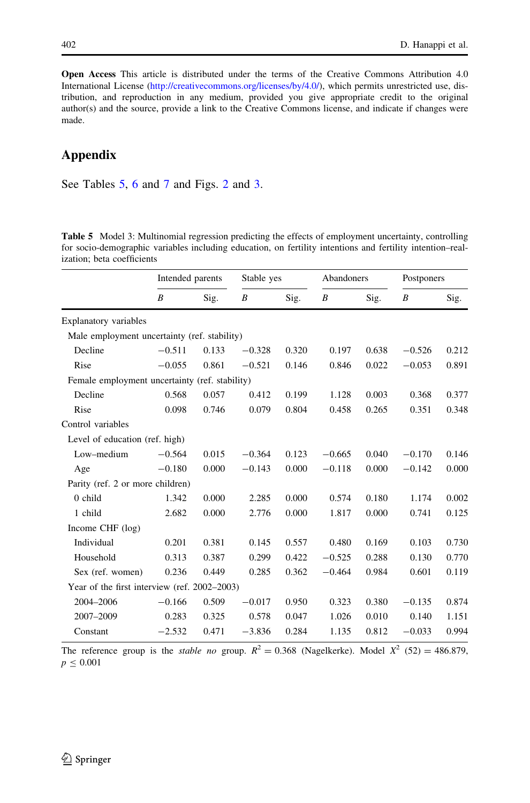<span id="page-21-0"></span>Open Access This article is distributed under the terms of the Creative Commons Attribution 4.0 International License ([http://creativecommons.org/licenses/by/4.0/\)](http://creativecommons.org/licenses/by/4.0/), which permits unrestricted use, distribution, and reproduction in any medium, provided you give appropriate credit to the original author(s) and the source, provide a link to the Creative Commons license, and indicate if changes were made.

# Appendix

See Tables 5, [6](#page-22-0) and [7](#page-22-0) and Figs. [2](#page-22-0) and [3.](#page-23-0)

Table 5 Model 3: Multinomial regression predicting the effects of employment uncertainty, controlling for socio-demographic variables including education, on fertility intentions and fertility intention–realization; beta coefficients

|                                                | Intended parents |       | Stable yes       |       | Abandoners       |       | Postponers       |       |
|------------------------------------------------|------------------|-------|------------------|-------|------------------|-------|------------------|-------|
|                                                | $\boldsymbol{B}$ | Sig.  | $\boldsymbol{B}$ | Sig.  | $\boldsymbol{B}$ | Sig.  | $\boldsymbol{B}$ | Sig.  |
| Explanatory variables                          |                  |       |                  |       |                  |       |                  |       |
| Male employment uncertainty (ref. stability)   |                  |       |                  |       |                  |       |                  |       |
| Decline                                        | $-0.511$         | 0.133 | $-0.328$         | 0.320 | 0.197            | 0.638 | $-0.526$         | 0.212 |
| Rise                                           | $-0.055$         | 0.861 | $-0.521$         | 0.146 | 0.846            | 0.022 | $-0.053$         | 0.891 |
| Female employment uncertainty (ref. stability) |                  |       |                  |       |                  |       |                  |       |
| Decline                                        | 0.568            | 0.057 | 0.412            | 0.199 | 1.128            | 0.003 | 0.368            | 0.377 |
| Rise                                           | 0.098            | 0.746 | 0.079            | 0.804 | 0.458            | 0.265 | 0.351            | 0.348 |
| Control variables                              |                  |       |                  |       |                  |       |                  |       |
| Level of education (ref. high)                 |                  |       |                  |       |                  |       |                  |       |
| Low-medium                                     | $-0.564$         | 0.015 | $-0.364$         | 0.123 | $-0.665$         | 0.040 | $-0.170$         | 0.146 |
| Age                                            | $-0.180$         | 0.000 | $-0.143$         | 0.000 | $-0.118$         | 0.000 | $-0.142$         | 0.000 |
| Parity (ref. 2 or more children)               |                  |       |                  |       |                  |       |                  |       |
| 0 child                                        | 1.342            | 0.000 | 2.285            | 0.000 | 0.574            | 0.180 | 1.174            | 0.002 |
| 1 child                                        | 2.682            | 0.000 | 2.776            | 0.000 | 1.817            | 0.000 | 0.741            | 0.125 |
| Income CHF $(log)$                             |                  |       |                  |       |                  |       |                  |       |
| Individual                                     | 0.201            | 0.381 | 0.145            | 0.557 | 0.480            | 0.169 | 0.103            | 0.730 |
| Household                                      | 0.313            | 0.387 | 0.299            | 0.422 | $-0.525$         | 0.288 | 0.130            | 0.770 |
| Sex (ref. women)                               | 0.236            | 0.449 | 0.285            | 0.362 | $-0.464$         | 0.984 | 0.601            | 0.119 |
| Year of the first interview (ref. 2002–2003)   |                  |       |                  |       |                  |       |                  |       |
| 2004-2006                                      | $-0.166$         | 0.509 | $-0.017$         | 0.950 | 0.323            | 0.380 | $-0.135$         | 0.874 |
| 2007-2009                                      | 0.283            | 0.325 | 0.578            | 0.047 | 1.026            | 0.010 | 0.140            | 1.151 |
| Constant                                       | $-2.532$         | 0.471 | $-3.836$         | 0.284 | 1.135            | 0.812 | $-0.033$         | 0.994 |
|                                                |                  |       |                  |       |                  |       |                  |       |

The reference group is the *stable no* group.  $R^2 = 0.368$  (Nagelkerke). Model  $X^2$  (52) = 486.879,  $p \le 0.001$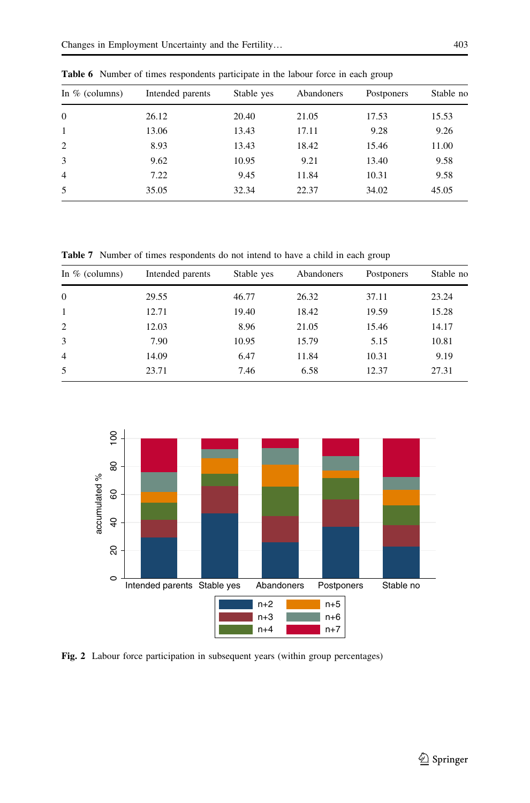| In $%$ (columns) | Intended parents | Stable yes | Abandoners | Postponers | Stable no |
|------------------|------------------|------------|------------|------------|-----------|
| $\mathbf{0}$     | 26.12            | 20.40      | 21.05      | 17.53      | 15.53     |
| $\mathbf{1}$     | 13.06            | 13.43      | 17.11      | 9.28       | 9.26      |
| 2                | 8.93             | 13.43      | 18.42      | 15.46      | 11.00     |
| 3                | 9.62             | 10.95      | 9.21       | 13.40      | 9.58      |
| $\overline{4}$   | 7.22             | 9.45       | 11.84      | 10.31      | 9.58      |
| 5                | 35.05            | 32.34      | 22.37      | 34.02      | 45.05     |

<span id="page-22-0"></span>Table 6 Number of times respondents participate in the labour force in each group

Table 7 Number of times respondents do not intend to have a child in each group

| In $%$ (columns) | Intended parents | Stable yes | Abandoners | Postponers | Stable no |
|------------------|------------------|------------|------------|------------|-----------|
| $\mathbf{0}$     | 29.55            | 46.77      | 26.32      | 37.11      | 23.24     |
| $\mathbf{1}$     | 12.71            | 19.40      | 18.42      | 19.59      | 15.28     |
| 2                | 12.03            | 8.96       | 21.05      | 15.46      | 14.17     |
| 3                | 7.90             | 10.95      | 15.79      | 5.15       | 10.81     |
| $\overline{4}$   | 14.09            | 6.47       | 11.84      | 10.31      | 9.19      |
| 5                | 23.71            | 7.46       | 6.58       | 12.37      | 27.31     |



Fig. 2 Labour force participation in subsequent years (within group percentages)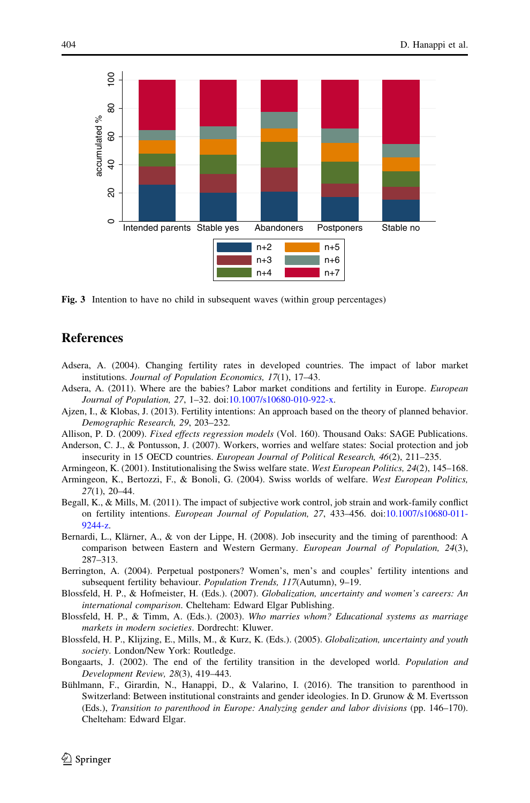<span id="page-23-0"></span>

Fig. 3 Intention to have no child in subsequent waves (within group percentages)

# **References**

- Adsera, A. (2004). Changing fertility rates in developed countries. The impact of labor market institutions. Journal of Population Economics, 17(1), 17–43.
- Adsera, A. (2011). Where are the babies? Labor market conditions and fertility in Europe. *European* Journal of Population, 27, 1–32. doi:[10.1007/s10680-010-922-x.](http://dx.doi.org/10.1007/s10680-010-922-x)
- Ajzen, I., & Klobas, J. (2013). Fertility intentions: An approach based on the theory of planned behavior. Demographic Research, 29, 203–232.
- Allison, P. D. (2009). Fixed effects regression models (Vol. 160). Thousand Oaks: SAGE Publications.
- Anderson, C. J., & Pontusson, J. (2007). Workers, worries and welfare states: Social protection and job insecurity in 15 OECD countries. European Journal of Political Research, 46(2), 211–235.
- Armingeon, K. (2001). Institutionalising the Swiss welfare state. West European Politics, 24(2), 145–168.
- Armingeon, K., Bertozzi, F., & Bonoli, G. (2004). Swiss worlds of welfare. West European Politics, 27(1), 20–44.
- Begall, K., & Mills, M. (2011). The impact of subjective work control, job strain and work-family conflict on fertility intentions. European Journal of Population, 27, 433–456. doi[:10.1007/s10680-011-](http://dx.doi.org/10.1007/s10680-011-9244-z) [9244-z](http://dx.doi.org/10.1007/s10680-011-9244-z).
- Bernardi, L., Klärner, A., & von der Lippe, H. (2008). Job insecurity and the timing of parenthood: A comparison between Eastern and Western Germany. European Journal of Population, 24(3), 287–313.
- Berrington, A. (2004). Perpetual postponers? Women's, men's and couples' fertility intentions and subsequent fertility behaviour. Population Trends, 117(Autumn), 9–19.
- Blossfeld, H. P., & Hofmeister, H. (Eds.). (2007). Globalization, uncertainty and women's careers: An international comparison. Chelteham: Edward Elgar Publishing.
- Blossfeld, H. P., & Timm, A. (Eds.). (2003). Who marries whom? Educational systems as marriage markets in modern societies. Dordrecht: Kluwer.
- Blossfeld, H. P., Klijzing, E., Mills, M., & Kurz, K. (Eds.). (2005). Globalization, uncertainty and youth society. London/New York: Routledge.
- Bongaarts, J. (2002). The end of the fertility transition in the developed world. Population and Development Review, 28(3), 419–443.
- Bühlmann, F., Girardin, N., Hanappi, D., & Valarino, I. (2016). The transition to parenthood in Switzerland: Between institutional constraints and gender ideologies. In D. Grunow & M. Evertsson (Eds.), Transition to parenthood in Europe: Analyzing gender and labor divisions (pp. 146–170). Chelteham: Edward Elgar.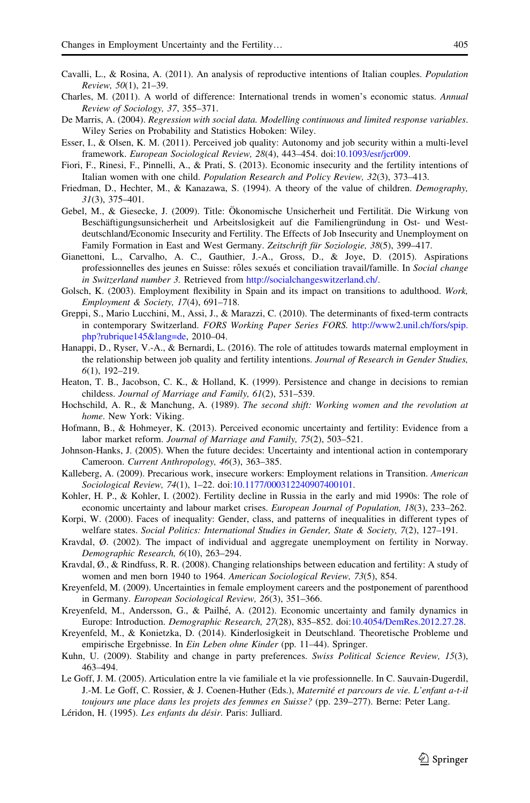- <span id="page-24-0"></span>Cavalli, L., & Rosina, A. (2011). An analysis of reproductive intentions of Italian couples. Population Review, 50(1), 21–39.
- Charles, M. (2011). A world of difference: International trends in women's economic status. Annual Review of Sociology, 37, 355–371.
- De Marris, A. (2004). Regression with social data. Modelling continuous and limited response variables. Wiley Series on Probability and Statistics Hoboken: Wiley.
- Esser, I., & Olsen, K. M. (2011). Perceived job quality: Autonomy and job security within a multi-level framework. European Sociological Review, 28(4), 443–454. doi:[10.1093/esr/jcr009.](http://dx.doi.org/10.1093/esr/jcr009)
- Fiori, F., Rinesi, F., Pinnelli, A., & Prati, S. (2013). Economic insecurity and the fertility intentions of Italian women with one child. Population Research and Policy Review, 32(3), 373–413.
- Friedman, D., Hechter, M., & Kanazawa, S. (1994). A theory of the value of children. Demography, 31(3), 375–401.
- Gebel, M., & Giesecke, J. (2009). Title: Ökonomische Unsicherheit und Fertilität. Die Wirkung von Beschäftigungsunsicherheit und Arbeitslosigkeit auf die Familiengründung in Ost- und Westdeutschland/Economic Insecurity and Fertility. The Effects of Job Insecurity and Unemployment on Family Formation in East and West Germany. Zeitschrift für Soziologie, 38(5), 399–417.
- Gianettoni, L., Carvalho, A. C., Gauthier, J.-A., Gross, D., & Joye, D. (2015). Aspirations professionnelles des jeunes en Suisse: rôles sexués et conciliation travail/famille. In Social change in Switzerland number 3. Retrieved from <http://socialchangeswitzerland.ch/>.
- Golsch, K. (2003). Employment flexibility in Spain and its impact on transitions to adulthood. Work, Employment & Society, 17(4), 691–718.
- Greppi, S., Mario Lucchini, M., Assi, J., & Marazzi, C. (2010). The determinants of fixed-term contracts in contemporary Switzerland. FORS Working Paper Series FORS. [http://www2.unil.ch/fors/spip.](http://www2.unil.ch/fors/spip.php?rubrique145&lang=de) [php?rubrique145&lang=de](http://www2.unil.ch/fors/spip.php?rubrique145&lang=de), 2010–04.
- Hanappi, D., Ryser, V.-A., & Bernardi, L. (2016). The role of attitudes towards maternal employment in the relationship between job quality and fertility intentions. Journal of Research in Gender Studies, 6(1), 192–219.
- Heaton, T. B., Jacobson, C. K., & Holland, K. (1999). Persistence and change in decisions to remian childess. Journal of Marriage and Family, 61(2), 531–539.
- Hochschild, A. R., & Manchung, A. (1989). The second shift: Working women and the revolution at home. New York: Viking.
- Hofmann, B., & Hohmeyer, K. (2013). Perceived economic uncertainty and fertility: Evidence from a labor market reform. Journal of Marriage and Family, 75(2), 503–521.
- Johnson-Hanks, J. (2005). When the future decides: Uncertainty and intentional action in contemporary Cameroon. Current Anthropology, 46(3), 363–385.
- Kalleberg, A. (2009). Precarious work, insecure workers: Employment relations in Transition. American Sociological Review, 74(1), 1–22. doi[:10.1177/000312240907400101.](http://dx.doi.org/10.1177/000312240907400101)
- Kohler, H. P., & Kohler, I. (2002). Fertility decline in Russia in the early and mid 1990s: The role of economic uncertainty and labour market crises. European Journal of Population, 18(3), 233–262.
- Korpi, W. (2000). Faces of inequality: Gender, class, and patterns of inequalities in different types of welfare states. Social Politics: International Studies in Gender, State & Society, 7(2), 127-191.
- Kravdal, Ø. (2002). The impact of individual and aggregate unemployment on fertility in Norway. Demographic Research, 6(10), 263–294.
- Kravdal, Ø., & Rindfuss, R. R. (2008). Changing relationships between education and fertility: A study of women and men born 1940 to 1964. American Sociological Review, 73(5), 854.
- Kreyenfeld, M. (2009). Uncertainties in female employment careers and the postponement of parenthood in Germany. European Sociological Review, 26(3), 351–366.
- Kreyenfeld, M., Andersson, G., & Pailhé, A. (2012). Economic uncertainty and family dynamics in Europe: Introduction. Demographic Research, 27(28), 835–852. doi[:10.4054/DemRes.2012.27.28.](http://dx.doi.org/10.4054/DemRes.2012.27.28)
- Kreyenfeld, M., & Konietzka, D. (2014). Kinderlosigkeit in Deutschland. Theoretische Probleme und empirische Ergebnisse. In Ein Leben ohne Kinder (pp. 11–44). Springer.
- Kuhn, U. (2009). Stability and change in party preferences. Swiss Political Science Review, 15(3), 463–494.
- Le Goff, J. M. (2005). Articulation entre la vie familiale et la vie professionnelle. In C. Sauvain-Dugerdil, J.-M. Le Goff, C. Rossier, & J. Coenen-Huther (Eds.), Maternité et parcours de vie. L'enfant a-t-il toujours une place dans les projets des femmes en Suisse? (pp. 239–277). Berne: Peter Lang.
- Léridon, H. (1995). Les enfants du désir. Paris: Julliard.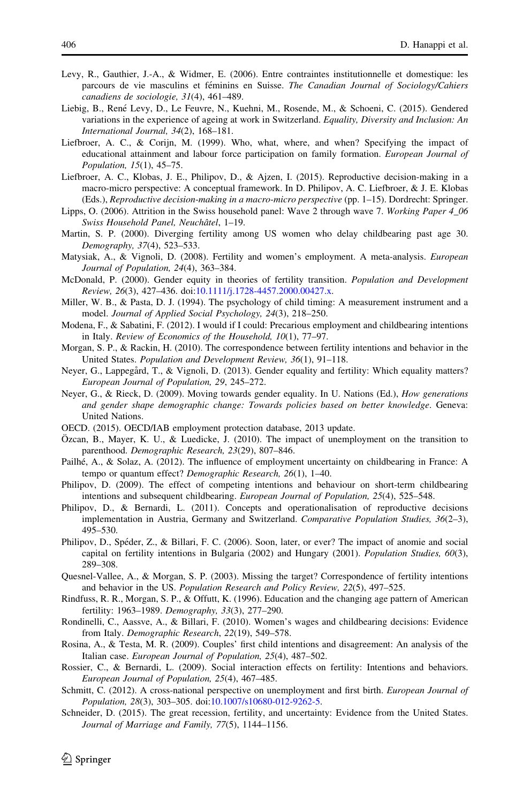- <span id="page-25-0"></span>Levy, R., Gauthier, J.-A., & Widmer, E. (2006). Entre contraintes institutionnelle et domestique: les parcours de vie masculins et féminins en Suisse. The Canadian Journal of Sociology/Cahiers canadiens de sociologie, 31(4), 461–489.
- Liebig, B., René Levy, D., Le Feuvre, N., Kuehni, M., Rosende, M., & Schoeni, C. (2015). Gendered variations in the experience of ageing at work in Switzerland. Equality, Diversity and Inclusion: An International Journal, 34(2), 168–181.
- Liefbroer, A. C., & Corijn, M. (1999). Who, what, where, and when? Specifying the impact of educational attainment and labour force participation on family formation. European Journal of Population, 15(1), 45–75.
- Liefbroer, A. C., Klobas, J. E., Philipov, D., & Ajzen, I. (2015). Reproductive decision-making in a macro-micro perspective: A conceptual framework. In D. Philipov, A. C. Liefbroer, & J. E. Klobas (Eds.), Reproductive decision-making in a macro-micro perspective (pp. 1–15). Dordrecht: Springer.
- Lipps, O. (2006). Attrition in the Swiss household panel: Wave 2 through wave 7. Working Paper 4\_06 Swiss Household Panel, Neuchâtel, 1-19.
- Martin, S. P. (2000). Diverging fertility among US women who delay childbearing past age 30. Demography, 37(4), 523–533.
- Matysiak, A., & Vignoli, D. (2008). Fertility and women's employment. A meta-analysis. *European* Journal of Population, 24(4), 363–384.
- McDonald, P. (2000). Gender equity in theories of fertility transition. Population and Development Review, 26(3), 427–436. doi[:10.1111/j.1728-4457.2000.00427.x.](http://dx.doi.org/10.1111/j.1728-4457.2000.00427.x)
- Miller, W. B., & Pasta, D. J. (1994). The psychology of child timing: A measurement instrument and a model. Journal of Applied Social Psychology, 24(3), 218–250.
- Modena, F., & Sabatini, F. (2012). I would if I could: Precarious employment and childbearing intentions in Italy. Review of Economics of the Household, 10(1), 77–97.
- Morgan, S. P., & Rackin, H. (2010). The correspondence between fertility intentions and behavior in the United States. Population and Development Review, 36(1), 91–118.
- Neyer, G., Lappegård, T., & Vignoli, D. (2013). Gender equality and fertility: Which equality matters? European Journal of Population, 29, 245–272.
- Neyer, G., & Rieck, D. (2009). Moving towards gender equality. In U. Nations (Ed.), *How generations* and gender shape demographic change: Towards policies based on better knowledge. Geneva: United Nations.
- OECD. (2015). OECD/IAB employment protection database, 2013 update.
- Özcan, B., Mayer, K. U., & Luedicke, J. (2010). The impact of unemployment on the transition to parenthood. Demographic Research, 23(29), 807–846.
- Pailhé, A., & Solaz, A. (2012). The influence of employment uncertainty on childbearing in France: A tempo or quantum effect? Demographic Research, 26(1), 1–40.
- Philipov, D. (2009). The effect of competing intentions and behaviour on short-term childbearing intentions and subsequent childbearing. European Journal of Population, 25(4), 525–548.
- Philipov, D., & Bernardi, L. (2011). Concepts and operationalisation of reproductive decisions implementation in Austria, Germany and Switzerland. Comparative Population Studies, 36(2-3), 495–530.
- Philipov, D., Spéder, Z., & Billari, F. C. (2006). Soon, later, or ever? The impact of anomie and social capital on fertility intentions in Bulgaria (2002) and Hungary (2001). Population Studies, 60(3), 289–308.
- Quesnel-Vallee, A., & Morgan, S. P. (2003). Missing the target? Correspondence of fertility intentions and behavior in the US. Population Research and Policy Review, 22(5), 497–525.
- Rindfuss, R. R., Morgan, S. P., & Offutt, K. (1996). Education and the changing age pattern of American fertility: 1963–1989. Demography, 33(3), 277–290.
- Rondinelli, C., Aassve, A., & Billari, F. (2010). Women's wages and childbearing decisions: Evidence from Italy. Demographic Research, 22(19), 549–578.
- Rosina, A., & Testa, M. R. (2009). Couples' first child intentions and disagreement: An analysis of the Italian case. European Journal of Population, 25(4), 487–502.
- Rossier, C., & Bernardi, L. (2009). Social interaction effects on fertility: Intentions and behaviors. European Journal of Population, 25(4), 467–485.
- Schmitt, C. (2012). A cross-national perspective on unemployment and first birth. European Journal of Population, 28(3), 303–305. doi:[10.1007/s10680-012-9262-5.](http://dx.doi.org/10.1007/s10680-012-9262-5)
- Schneider, D. (2015). The great recession, fertility, and uncertainty: Evidence from the United States. Journal of Marriage and Family, 77(5), 1144–1156.